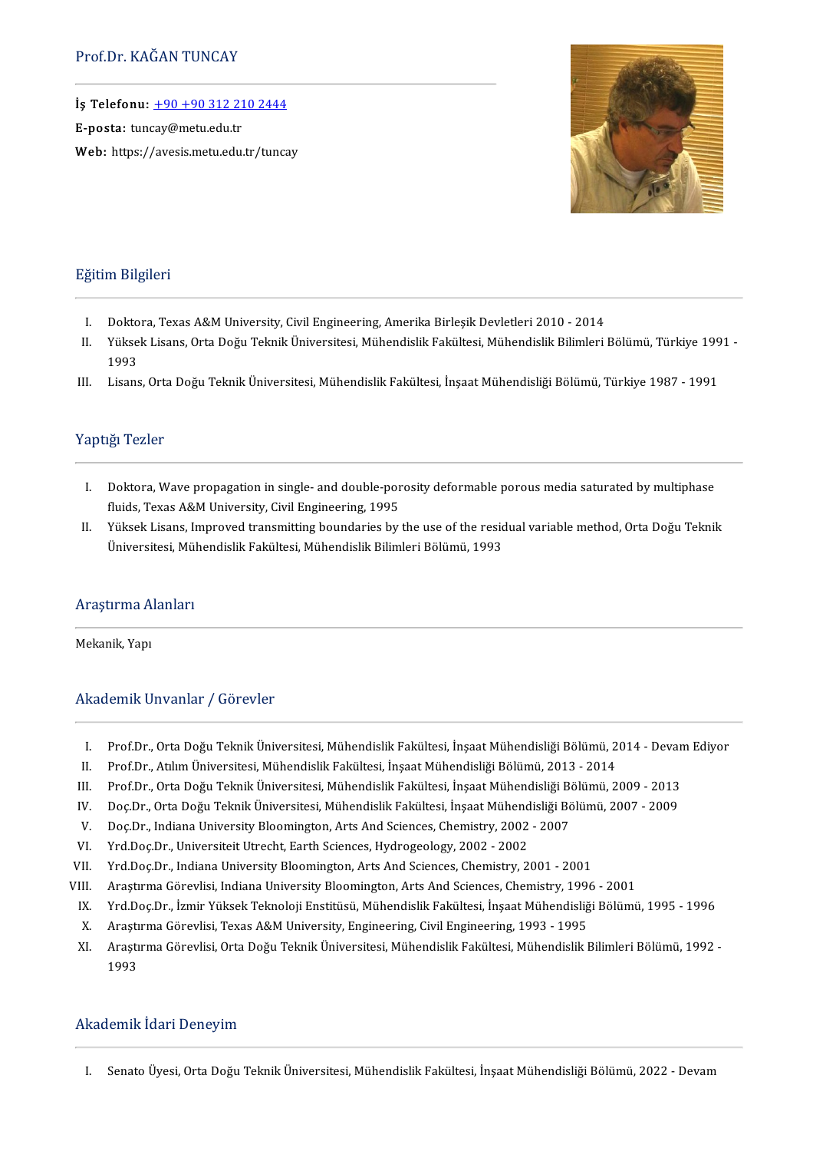İş Telefonu:  $+90+903122102444$ 

E-posta: tuncay@metu.edu.tr

Web: https://avesis.metu.edu.tr/tuncay



#### Eğitim Bilgileri

- ğitim Bilgileri<br>I. Doktora, Texas A&M University, Civil Engineering, Amerika Birleşik Devletleri 2010 2014<br>I. Vülsels Lisans Orta Doğu Telmik Üniversitesi Mühandislik Felültesi Mühandislik Bilimleri
- I. Doktora, Texas A&M University, Civil Engineering, Amerika Birleşik Devletleri 2010 2014<br>II. Yüksek Lisans, Orta Doğu Teknik Üniversitesi, Mühendislik Fakültesi, Mühendislik Bilimleri Bölümü, Türkiye 1991 -<br>199 Dokto<br>Yükse<br>1993
- III. Lisans, Orta Doğu Teknik Üniversitesi, Mühendislik Fakültesi, İnşaat Mühendisliği Bölümü, Türkiye 1987 1991

#### Yaptığı Tezler

- I. Doktora, Wave propagation in single- and double-porosity deformable porous media saturated by multiphase fluids, Texas A&M University, Civil Engineering, 1995 I. Doktora, Wave propagation in single- and double-porosity deformable porous media saturated by multiphase<br>fluids, Texas A&M University, Civil Engineering, 1995<br>II. Yüksek Lisans, Improved transmitting boundaries by the u
- fluids, Texas A&M University, Civil Engineering, 1995<br>Yüksek Lisans, Improved transmitting boundaries by the use of the resic<br>Üniversitesi, Mühendislik Fakültesi, Mühendislik Bilimleri Bölümü, 1993

## Universitesi, Mül<br>Araştırma Alanları<br>———————————————————— Araştırma A<br>Mekanik, Yapı

## Mekanik, Yapı<br>Akademik Unvanlar / Görevler

- kademik Unvanlar / Görevler<br>I. Prof.Dr., Orta Doğu Teknik Üniversitesi, Mühendislik Fakültesi, İnşaat Mühendisliği Bölümü, 2014 Devam Ediyor<br>I. Drof Dr. Atılım Üniversitesi Mühendislik Fakültesi, İnsaat Mühendisliği Bölü
- I. Prof.Dr., Orta Doğu Teknik Üniversitesi, Mühendislik Fakültesi, İnşaat Mühendisliği Bölümü, 2<br>II. Prof.Dr., Atılım Üniversitesi, Mühendislik Fakültesi, İnşaat Mühendisliği Bölümü, 2013 2014<br>U. Prof.Dr., Orta Doğu Telm
- I. Prof.Dr., Orta Doğu Teknik Üniversitesi, Mühendislik Fakültesi, İnşaat Mühendisliği Bölümü, 2014 Devan II.<br>II. Prof.Dr., Atılım Üniversitesi, Mühendislik Fakültesi, İnşaat Mühendisliği Bölümü, 2013 2014<br>III. Prof.Dr II. Prof.Dr., Atılım Üniversitesi, Mühendislik Fakültesi, İnşaat Mühendisliği Bölümü, 2013 - 2014<br>III. Prof.Dr., Orta Doğu Teknik Üniversitesi, Mühendislik Fakültesi, İnşaat Mühendisliği Bölümü, 2009 - 2013<br>IV. Doç.Dr., Or II. Prof.Dr., Orta Doğu Teknik Üniversitesi, Mühendislik Fakültesi, İnşaat Mühendisliği Bö<br>V. Doç.Dr., Orta Doğu Teknik Üniversitesi, Mühendislik Fakültesi, İnşaat Mühendisliği Bö<br>V. Doç.Dr., Indiana University Bloomington
- IV. Doç.Dr., Orta Doğu Teknik Üniversitesi, Mühendislik Fakültesi, İnşaat Mühend<br>V. Doç.Dr., Indiana University Bloomington, Arts And Sciences, Chemistry, 2002<br>VI. Yrd.Doç.Dr., Universiteit Utrecht, Earth Sciences, Hydroge
- V. Doç.Dr., Indiana University Bloomington, Arts And Sciences, Chemistry, 2002 2007<br>VI. Yrd.Doç.Dr., Universiteit Utrecht, Earth Sciences, Hydrogeology, 2002 2002<br>VII. Yrd.Doç.Dr., Indiana University Bloomington, Arts
- 
- 
- VI. Yrd.Doç.Dr., Universiteit Utrecht, Earth Sciences, Hydrogeology, 2002 2002<br>VII. Yrd.Doç.Dr., Indiana University Bloomington, Arts And Sciences, Chemistry, 2001 2001<br>VIII. Araştırma Görevlisi, Indiana University Blo
- IX. Yrd.Doç.Dr., Indiana University Bloomington, Arts And Sciences, Chemistry, 2001 2001<br>IX. Araştırma Görevlisi, Indiana University Bloomington, Arts And Sciences, Chemistry, 1996 2001<br>IX. Yrd.Doç.Dr., İzmir Yüksek Te II. Araştırma Görevlisi, Indiana University Bloomington, Arts And Sciences, Chemistry, 1996<br>X. Yrd.Doç.Dr., İzmir Yüksek Teknoloji Enstitüsü, Mühendislik Fakültesi, İnşaat Mühendisliğ<br>X. Araştırma Görevlisi, Texas A&M Univ
	-
	- IX. Yrd.Doç.Dr., İzmir Yüksek Teknoloji Enstitüsü, Mühendislik Fakültesi, İnşaat Mühendisliği Bölümü, 1995 1996<br>X. Araştırma Görevlisi, Texas A&M University, Engineering, Civil Engineering, 1993 1995<br>XI. Araştırma Göre Araştı<br>Araştı<br>1993

# 1993<br>Akademik İdari Deneyim

I. SenatoÜyesi,OrtaDoğuTeknikÜniversitesi,MühendislikFakültesi, İnşaatMühendisliğiBölümü,2022-Devam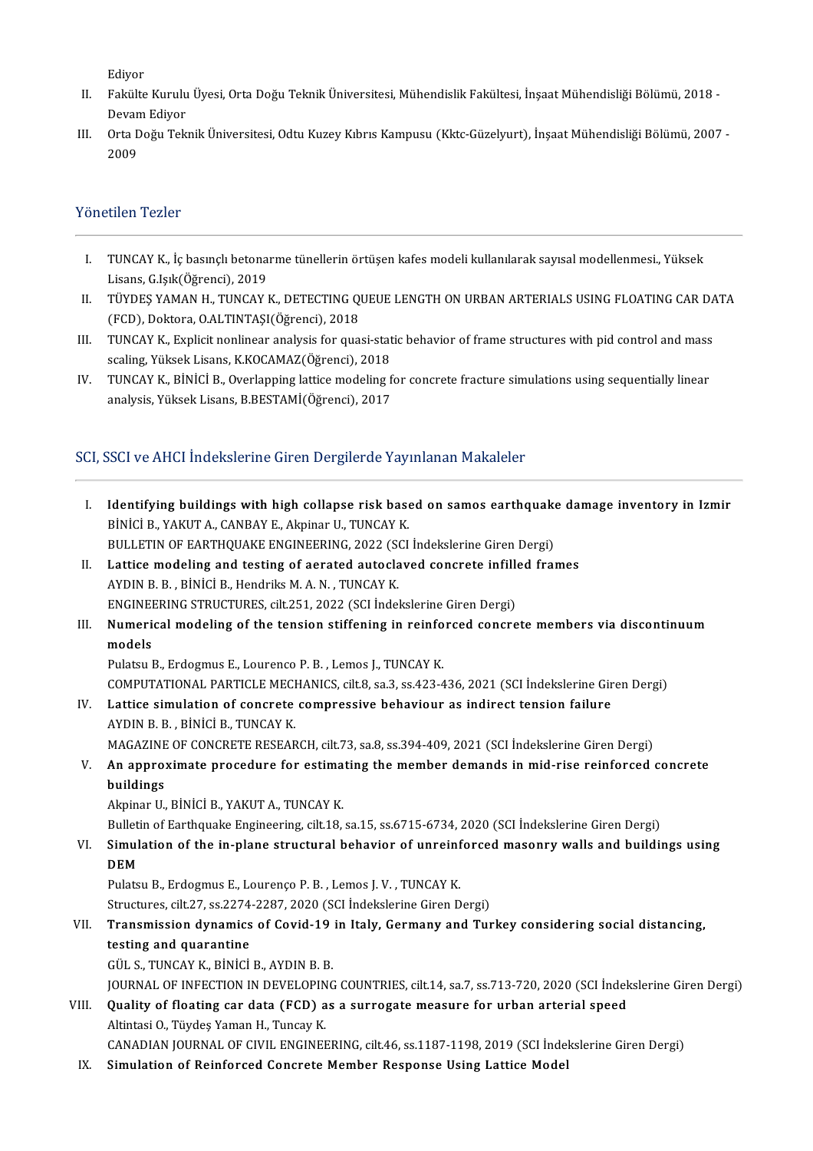Ediyor

- Ediyor<br>II. Fakülte Kurulu Üyesi, Orta Doğu Teknik Üniversitesi, Mühendislik Fakültesi, İnşaat Mühendisliği Bölümü, 2018 -<br>Dayam Ediyar Ediyor<br>Fakülte Kurulu<br>Devam Ediyor<br>Orta Doğu Telr II. Fakülte Kurulu Üyesi, Orta Doğu Teknik Üniversitesi, Mühendislik Fakültesi, İnşaat Mühendisliği Bölümü, 2018 -<br>Devam Ediyor<br>III. Orta Doğu Teknik Üniversitesi, Odtu Kuzey Kıbrıs Kampusu (Kktc-Güzelyurt), İnşaat Mühendi
- Devam Ediyor<br>Orta Doğu Teknik Üniversitesi, Odtu Kuzey Kıbrıs Kampusu (Kktc-Güzelyurt), İnşaat Mühendisliği Bölümü, 2007 -<br>2009

#### Yönetilen Tezler

- önetilen Tezler<br>I. TUNCAY K., İç basınçlı betonarme tünellerin örtüşen kafes modeli kullanılarak sayısal modellenmesi., Yüksek<br>I. İsane C. İsik(Öğrensi), 2010 **TUNCAY K., İç basınçlı betona**<br>Lisans, G.Işık(Öğrenci), 2019<br>TÜYDES YAMAN H., TUNCAY I I TUNCAY K., İç basınçlı betonarme tünellerin örtüşen kafes modeli kullanılarak sayısal modellenmesi., Yüksek<br>Lisans, G.Işık(Öğrenci), 2019<br>II . TÜYDEŞ YAMAN H., TUNCAY K., DETECTING QUEUE LENGTH ON URBAN ARTERIALS USING F
- Lisans, G.Işık(Öğrenci), 2019<br>TÜYDEŞ YAMAN H., TUNCAY K., DETECTING QUEUE LENGTH ON URBAN ARTERIALS USING FLOATING CAR DATA<br>(FCD), Doktora, O.ALTINTAŞI(Öğrenci), 2018 II. TÜYDEŞ YAMAN H., TUNCAY K., DETECTING QUEUE LENGTH ON URBAN ARTERIALS USING FLOATING CAR DA<br>(FCD), Doktora, O.ALTINTAŞI(Öğrenci), 2018<br>III. TUNCAY K., Explicit nonlinear analysis for quasi-static behavior of frame stru
- (FCD), Doktora, O.ALTINTAŞI(Öğrenci), 2018<br>TUNCAY K., Explicit nonlinear analysis for quasi-stat<br>scaling, Yüksek Lisans, K.KOCAMAZ(Öğrenci), 2018<br>TUNCAY K. PİNİCİ P. Qverlanning lattice modeling f III. TUNCAY K., Explicit nonlinear analysis for quasi-static behavior of frame structures with pid control and mass<br>scaling, Yüksek Lisans, K.KOCAMAZ(Öğrenci), 2018<br>IV. TUNCAY K., BİNİCİ B., Overlapping lattice modeling fo
- scaling, Yüksek Lisans, K.KOCAMAZ(Öğrenci), 2018<br>TUNCAY K., BİNİCİ B., Overlapping lattice modeling for concrete fracture simulations using sequentially linear<br>analysis, Yüksek Lisans, B.BESTAMİ(Öğrenci), 2017

# SCI,SSCIveAHCI İndekslerineGirenDergilerdeYayınlananMakaleler

| SCI, SSCI ve AHCI Indekslerine Giren Dergilerde Yayınlanan Makaleler |                                                                                                              |  |
|----------------------------------------------------------------------|--------------------------------------------------------------------------------------------------------------|--|
| Ι.                                                                   | Identifying buildings with high collapse risk based on samos earthquake damage inventory in Izmir            |  |
|                                                                      | BİNİCİ B., YAKUT A., CANBAY E., Akpinar U., TUNCAY K.                                                        |  |
|                                                                      | BULLETIN OF EARTHQUAKE ENGINEERING, 2022 (SCI İndekslerine Giren Dergi)                                      |  |
| Н.                                                                   | Lattice modeling and testing of aerated autoclaved concrete infilled frames                                  |  |
|                                                                      | AYDIN B. B., BİNİCİ B., Hendriks M. A. N., TUNCAY K.                                                         |  |
|                                                                      | ENGINEERING STRUCTURES, cilt.251, 2022 (SCI İndekslerine Giren Dergi)                                        |  |
| III.                                                                 | Numerical modeling of the tension stiffening in reinforced concrete members via discontinuum                 |  |
|                                                                      | models                                                                                                       |  |
|                                                                      | Pulatsu B., Erdogmus E., Lourenco P. B., Lemos J., TUNCAY K.                                                 |  |
|                                                                      | COMPUTATIONAL PARTICLE MECHANICS, cilt.8, sa.3, ss.423-436, 2021 (SCI Indekslerine Giren Dergi)              |  |
| IV.                                                                  | Lattice simulation of concrete compressive behaviour as indirect tension failure                             |  |
|                                                                      | AYDIN B. B., BİNİCİ B., TUNCAY K.                                                                            |  |
|                                                                      | MAGAZINE OF CONCRETE RESEARCH, cilt.73, sa.8, ss.394-409, 2021 (SCI İndekslerine Giren Dergi)                |  |
| V.                                                                   | An approximate procedure for estimating the member demands in mid-rise reinforced concrete<br>buildings      |  |
|                                                                      | Akpinar U., BİNİCİ B., YAKUT A., TUNCAY K.                                                                   |  |
|                                                                      | Bulletin of Earthquake Engineering, cilt.18, sa.15, ss.6715-6734, 2020 (SCI İndekslerine Giren Dergi)        |  |
| VI.                                                                  | Simulation of the in-plane structural behavior of unreinforced masonry walls and buildings using             |  |
|                                                                      | <b>DEM</b>                                                                                                   |  |
|                                                                      | Pulatsu B., Erdogmus E., Lourenço P. B., Lemos J. V., TUNCAY K.                                              |  |
|                                                                      | Structures, cilt.27, ss.2274-2287, 2020 (SCI İndekslerine Giren Dergi)                                       |  |
| VII.                                                                 | Transmission dynamics of Covid-19 in Italy, Germany and Turkey considering social distancing,                |  |
|                                                                      | testing and quarantine                                                                                       |  |
|                                                                      | GÜL S., TUNCAY K., BİNİCİ B., AYDIN B. B.                                                                    |  |
|                                                                      | JOURNAL OF INFECTION IN DEVELOPING COUNTRIES, cilt 14, sa.7, ss.713-720, 2020 (SCI Indekslerine Giren Dergi) |  |
| VIII.                                                                | Quality of floating car data (FCD) as a surrogate measure for urban arterial speed                           |  |
|                                                                      | Altintasi O., Tüydeş Yaman H., Tuncay K.                                                                     |  |
|                                                                      | CANADIAN JOURNAL OF CIVIL ENGINEERING, cilt.46, ss.1187-1198, 2019 (SCI Indekslerine Giren Dergi)            |  |
| IX.                                                                  | Simulation of Reinforced Concrete Member Response Using Lattice Model                                        |  |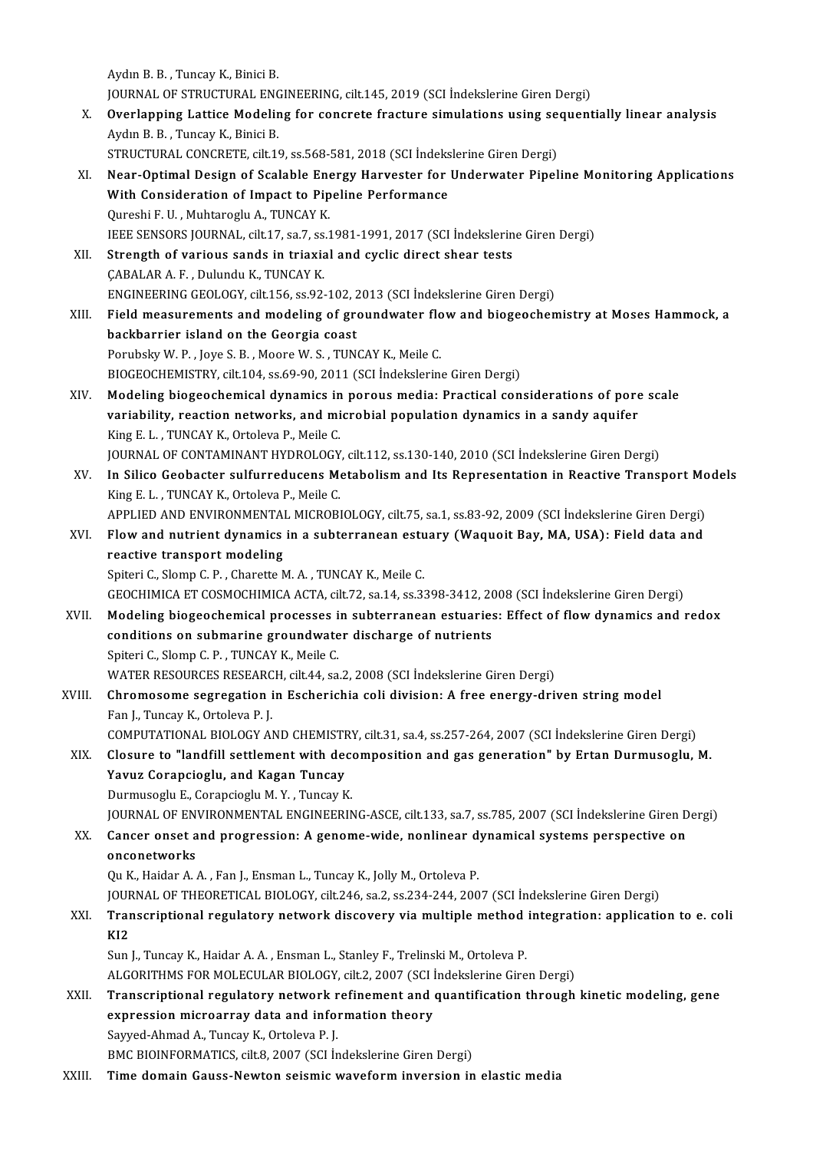Aydın B. B., Tuncay K., Binici B. Aydın B. B. , Tuncay K., Binici B.<br>JOURNAL OF STRUCTURAL ENGINEERING, cilt.145, 2019 (SCI İndekslerine Giren Dergi)<br>Querlanning Latties Madeling for senerate frasture simulations using sequent X. Overlapping Lattice Modeling for concrete fracture simulations using sequentially linear analysis Aydın B. B., Tuncay K., Binici B. **JOURNAL OF STRUCTURAL ENC<br>Overlapping Lattice Modelin<br>Aydın B. B., Tuncay K., Binici B.<br>STRUCTURAL CONCRETE sil:11** Overlapping Lattice Modeling for concrete fracture simulations using se<br>Aydın B. B. , Tuncay K., Binici B.<br>STRUCTURAL CONCRETE, cilt.19, ss.568-581, 2018 (SCI İndekslerine Giren Dergi)<br>Near Ontimal Design of Scalable Energ XI. Near-Optimal Design of Scalable Energy Harvester for Underwater Pipeline Monitoring Applications STRUCTURAL CONCRETE, cilt.19, ss.568-581, 2018 (SCI İndeks<br>Near-Optimal Design of Scalable Energy Harvester for<br>With Consideration of Impact to Pipeline Performance<br>Qureshi E.U. Muhtareshu A. TUNCAY K With Consideration of Impact to Pipeline Performance<br>Qureshi F.U., Muhtaroglu A., TUNCAY K. IEEESENSORS JOURNAL, cilt.17, sa.7, ss.1981-1991,2017(SCI İndekslerineGirenDergi) Qureshi F. U. , Muhtaroglu A., TUNCAY K.<br>IEEE SENSORS JOURNAL, cilt.17, sa.7, ss.1981-1991, 2017 (SCI İndekslerin<br>XII. Strength of various sands in triaxial and cyclic direct shear tests IEEE SENSORS JOURNAL, cilt.17, sa.7, ss.<br>Strength of various sands in triaxia<br>ÇABALAR A. F. , Dulundu K., TUNCAY K.<br>ENCINEERING GEOLOGY silt 156, ss.93. CABALAR A. F. , Dulundu K., TUNCAY K.<br>ENGINEERING GEOLOGY, cilt.156, ss.92-102, 2013 (SCI İndekslerine Giren Dergi) XIII. Field measurements and modeling of groundwater flow and biogeochemistry at Moses Hammock, a backbarrier island on the Georgia coast Porubsky W.P., Joye S.B., Moore W.S., TUNCAY K., Meile C. BIOGEOCHEMISTRY, cilt.104, ss.69-90, 2011 (SCI İndekslerine Giren Dergi) XIV. Modeling biogeochemical dynamics in porousmedia: Practical considerations of pore scale BIOGEOCHEMISTRY, cilt.104, ss.69-90, 2011 (SCI Indekslerine Giren Dergi)<br>Modeling biogeochemical dynamics in porous media: Practical considerations of pore<br>variability, reaction networks, and microbial population dynamics Modeling biogeochemical dynamics in<br>variability, reaction networks, and mi<br>King E. L. , TUNCAY K., Ortoleva P., Meile C.<br>JOUPNAL OF CONTAMINANT HYPPOLOCY variability, reaction networks, and microbial population dynamics in a sandy aquifer<br>King E. L. , TUNCAY K., Ortoleva P., Meile C.<br>JOURNAL OF CONTAMINANT HYDROLOGY, cilt.112, ss.130-140, 2010 (SCI İndekslerine Giren Dergi) King E. L. , TUNCAY K., Ortoleva P., Meile C.<br>JOURNAL OF CONTAMINANT HYDROLOGY, cilt.112, ss.130-140, 2010 (SCI İndekslerine Giren Dergi)<br>XV. In Silico Geobacter sulfurreducens Metabolism and Its Representation in Reac **JOURNAL OF CONTAMINANT HYDROLOGY<br>In Silico Geobacter sulfurreducens Mexing E. L. , TUNCAY K., Ortoleva P., Meile C.<br>APRUED AND ENWRONMENTAL MICROPI** In Silico Geobacter sulfurreducens Metabolism and Its Representation in Reactive Transport Mc<br>King E. L. , TUNCAY K., Ortoleva P., Meile C.<br>APPLIED AND ENVIRONMENTAL MICROBIOLOGY, cilt.75, sa.1, ss.83-92, 2009 (SCI İndeksl King E. L. , TUNCAY K., Ortoleva P., Meile C.<br>APPLIED AND ENVIRONMENTAL MICROBIOLOGY, cilt.75, sa.1, ss.83-92, 2009 (SCI İndekslerine Giren Dergi)<br>XVI. Flow and nutrient dynamics in a subterranean estuary (Waquoit Bay, APPLIED AND ENVIRONMENTAI<br>Flow and nutrient dynamics<br>reactive transport modeling<br>Spiteri C. Slamp C. B. Charatte N XVI. Flow and nutrient dynamics in a subterranean estuary (Waquoit Bay, MA, USA): Field data and<br>reactive transport modeling<br>Spiteri C., Slomp C. P. , Charette M. A. , TUNCAY K., Meile C. GEOCHIMICAETCOSMOCHIMICAACTA, cilt.72, sa.14, ss.3398-3412,2008(SCI İndekslerineGirenDergi) XVII. Modeling biogeochemical processes in subterranean estuaries: Effect of flow dynamics and redox GEOCHIMICA ET COSMOCHIMICA ACTA, cilt.72, sa.14, ss.3398-3412, 20<br>Modeling biogeochemical processes in subterranean estuaries<br>conditions on submarine groundwater discharge of nutrients<br>Spiteri C. Slamp C. B., TUNCAV V. Mei Modeling biogeochemical processes i<br>conditions on submarine groundwate<br>Spiteri C., Slomp C. P. , TUNCAY K., Meile C.<br>WATED PESOURCES PESEARCH silt 44, SS Spiteri C., Slomp C. P. , TUNCAY K., Meile C.<br>WATER RESOURCES RESEARCH, cilt.44, sa.2, 2008 (SCI İndekslerine Giren Dergi) Spiteri C., Slomp C. P., TUNCAY K., Meile C.<br>WATER RESOURCES RESEARCH, cilt.44, sa.2, 2008 (SCI İndekslerine Giren Dergi)<br>XVIII. Chromosome segregation in Escherichia coli division: A free energy-driven string model<br>Fan J. WATER RESOURCES RESEARC<br>Chromosome segregation i<br>Fan J., Tuncay K., Ortoleva P. J.<br>COMBUTATIONAL PIOLOCY AL Chromosome segregation in Escherichia coli division: A free energy-driven string model<br>Fan J., Tuncay K., Ortoleva P. J.<br>COMPUTATIONAL BIOLOGY AND CHEMISTRY, cilt.31, sa.4, ss.257-264, 2007 (SCI İndekslerine Giren Dergi)<br>C Fan J., Tuncay K., Ortoleva P. J.<br>COMPUTATIONAL BIOLOGY AND CHEMISTRY, cilt.31, sa.4, ss.257-264, 2007 (SCI İndekslerine Giren Dergi)<br>XIX. Closure to "landfill settlement with decomposition and gas generation" by Ertan COMPUTATIONAL BIOLOGY AND CHEMISTRY, cilt.31, sa.4, ss.257-264, 2007 (SCI Indekslerine Giren Dergi)<br>Closure to "landfill settlement with decomposition and gas generation" by Ertan Durmusoglu,<br>Yavuz Corapcioglu, and Kagan T Closure to "landfill settlement with dece<br>Yavuz Corapcioglu, and Kagan Tuncay<br>Durmusoglu E., Corapcioglu M.Y., Tuncay K.<br>JOUPNAL OF ENVUPONMENTAL ENCINEEPIN Yavuz Corapcioglu, and Kagan Tuncay<br>Durmusoglu E., Corapcioglu M. Y. , Tuncay K.<br>JOURNAL OF ENVIRONMENTAL ENGINEERING-ASCE, cilt.133, sa.7, ss.785, 2007 (SCI İndekslerine Giren Dergi)<br>Cancer onset and progression: A geneme Durmusoglu E., Corapcioglu M. Y. , Tuncay K.<br>JOURNAL OF ENVIRONMENTAL ENGINEERING-ASCE, cilt.133, sa.7, ss.785, 2007 (SCI İndekslerine Giren D<br>XX. Cancer onset and progression: A genome-wide, nonlinear dynamical systems pe JOURNAL OF ENT<br>Cancer onset a<br>onconetworks XX. Cancer onset and progression: A genome-wide, nonlinear dynamical systems perspective on<br>onconetworks<br>Qu K., Haidar A. A. , Fan J., Ensman L., Tuncay K., Jolly M., Ortoleva P. <mark>onconetworks</mark><br>Qu K., Haidar A. A. , Fan J., Ensman L., Tuncay K., Jolly M., Ortoleva P.<br>JOURNAL OF THEORETICAL BIOLOGY, cilt.246, sa.2, ss.234-244, 2007 (SCI İndekslerine Giren Dergi)<br>Transerintional regulatoru network di Qu K., Haidar A. A. , Fan J., Ensman L., Tuncay K., Jolly M., Ortoleva P.<br>JOURNAL OF THEORETICAL BIOLOGY, cilt.246, sa.2, ss.234-244, 2007 (SCI Indekslerine Giren Dergi)<br>XXI. Transcriptional regulatory network discover JOUF<br><mark>Trar</mark><br>KI2 Transcriptional regulatory network discovery via multiple method<br>KI2<br>Sun J., Tuncay K., Haidar A. A. , Ensman L., Stanley F., Trelinski M., Ortoleva P.<br>ALCOPITUMS FOP MOLECULAR PIOLOCY silt 2, 2007 (SCL Indekslering Giro KI2<br>Sun J., Tuncay K., Haidar A. A. , Ensman L., Stanley F., Trelinski M., Ortoleva P.<br>ALGORITHMS FOR MOLECULAR BIOLOGY, cilt.2, 2007 (SCI İndekslerine Giren Dergi)<br>Transarintional regulatery natyork refinement and quantif Sun J., Tuncay K., Haidar A. A. , Ensman L., Stanley F., Trelinski M., Ortoleva P.<br>ALGORITHMS FOR MOLECULAR BIOLOGY, cilt.2, 2007 (SCI Indekslerine Giren Dergi)<br>XXII. Transcriptional regulatory network refinement and q ALGORITHMS FOR MOLECULAR BIOLOGY, cilt.2, 2007 (SCI İ<br>Transcriptional regulatory network refinement and expression microarray data and information theory<br>Sayyed Abmed A. Tungay K. Oxtalaya B. I expression microarray data and information theory<br>Sayyed-Ahmad A., Tuncay K., Ortoleva P. J. BMC BIOINFORMATICS, cilt.8, 2007 (SCI İndekslerine Giren Dergi)

XXIII. Time domain Gauss-Newton seismic waveform inversion in elastic media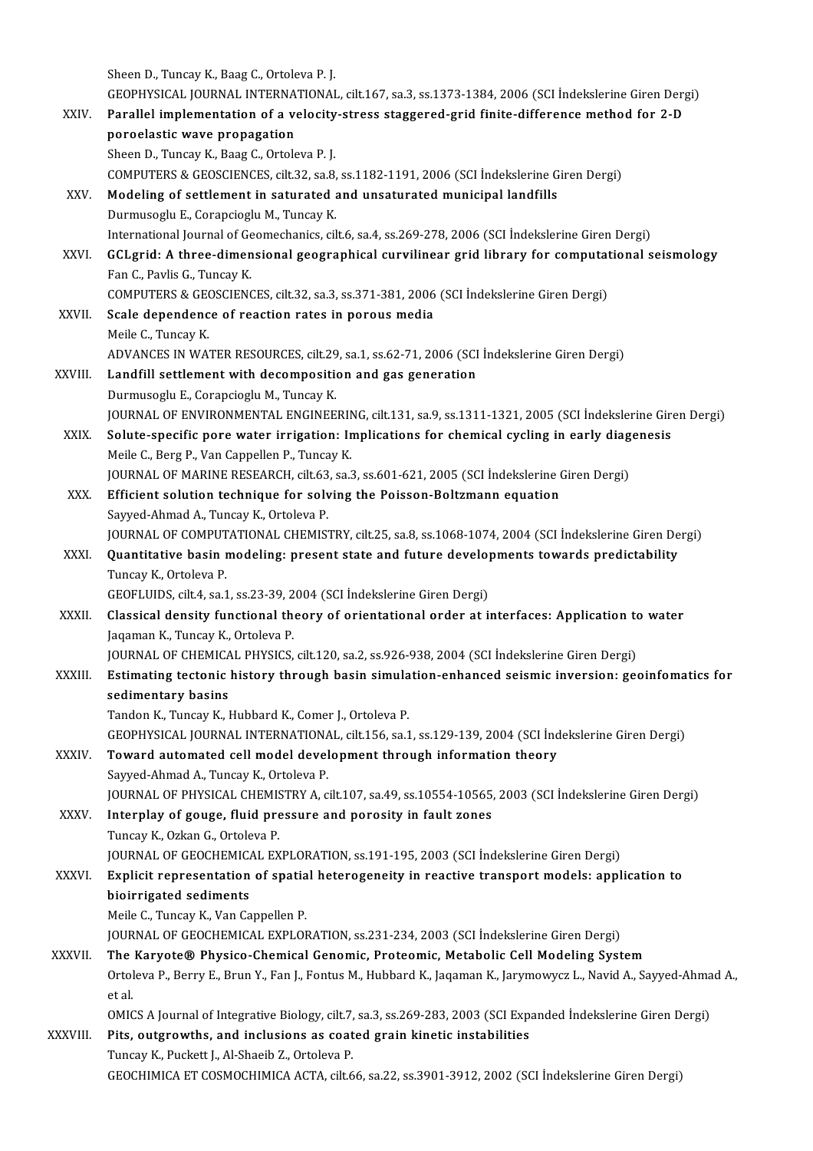Sheen D., Tuncay K., Baag C., Ortoleva P. J. Sheen D., Tuncay K., Baag C., Ortoleva P. J.<br>GEOPHYSICAL JOURNAL INTERNATIONAL, cilt.167, sa.3, ss.1373-1384, 2006 (SCI İndekslerine Giren Dergi)<br>Parallel implementation of a velesity stress staggared grid finite differenc Sheen D., Tuncay K., Baag C., Ortoleva P. J.<br>GEOPHYSICAL JOURNAL INTERNATIONAL, cilt.167, sa.3, ss.1373-1384, 2006 (SCI İndekslerine Giren Derg<br>XXIV. Parallel implementation of a velocity-stress staggered-grid finite-diffe GEOPHYSICAL JOURNAL INTERNA<br>Parallel implementation of a vertical poroelastic wave propagation Parallel implementation of a velocity-stress staggered-grid finite-difference method for 2-D poroelastic wave propagation<br>Sheen D., Tuncay K., Baag C., Ortoleva P. J. COMPUTERS&GEOSCIENCES, cilt.32, sa.8, ss.1182-1191,2006(SCI İndekslerineGirenDergi) Sheen D., Tuncay K., Baag C., Ortoleva P. J.<br>COMPUTERS & GEOSCIENCES, cilt.32, sa.8, ss.1182-1191, 2006 (SCI İndekslerine G<br>XXV. Modeling of settlement in saturated and unsaturated municipal landfills<br>Durmuseelu E. Coranci COMPUTERS & GEOSCIENCES, cilt.32, sa.8,<br>Modeling of settlement in saturated a<br>Durmusoglu E., Corapcioglu M., Tuncay K.<br>International Journal of Coomechaniss, sil Durmusoglu E., Corapcioglu M., Tuncay K.<br>International Journal of Geomechanics, cilt.6, sa.4, ss.269-278, 2006 (SCI İndekslerine Giren Dergi) Durmusoglu E., Corapcioglu M., Tuncay K.<br>International Journal of Geomechanics, cilt.6, sa.4, ss.269-278, 2006 (SCI İndekslerine Giren Dergi)<br>XXVI. GCLgrid: A three-dimensional geographical curvilinear grid library for com International Journal of General<br>GCLgrid: A three-dimen<br>Fan C., Pavlis G., Tuncay K.<br>COMBUTERS & CEOSCIENC GCLgrid: A three-dimensional geographical curvilinear grid library for computat<br>Fan C., Pavlis G., Tuncay K.<br>COMPUTERS & GEOSCIENCES, cilt.32, sa.3, ss.371-381, 2006 (SCI İndekslerine Giren Dergi)<br>Seale dependence of react Fan C., Pavlis G., Tuncay K.<br>COMPUTERS & GEOSCIENCES, cilt.32, sa.3, ss.371-381, 2006<br>XXVII. Scale dependence of reaction rates in porous media<br>Maile G. Tungay K. COMPUTERS & GEO<br>Scale dependenc<br>Meile C., Tuncay K.<br>ADVANGES IN WA' Scale dependence of reaction rates in porous media<br>Meile C., Tuncay K.<br>ADVANCES IN WATER RESOURCES, cilt.29, sa.1, ss.62-71, 2006 (SCI İndekslerine Giren Dergi)<br>Landfill settlement with desemnesition and ges generation. Meile C., Tuncay K.<br>ADVANCES IN WATER RESOURCES, cilt.29, sa.1, ss.62-71, 2006 (SCI<br>XXVIII. Landfill settlement with decomposition and gas generation ADVANCES IN WATER RESOURCES, cilt.29<br>Landfill settlement with decomposition<br>Durmusoglu E., Corapcioglu M., Tuncay K.<br>JOUPNAL OF ENVIDONMENTAL ENGINEE Landfill settlement with decomposition and gas generation<br>Durmusoglu E., Corapcioglu M., Tuncay K.<br>JOURNAL OF ENVIRONMENTAL ENGINEERING, cilt.131, sa.9, ss.1311-1321, 2005 (SCI İndekslerine Giren Dergi) Durmusoglu E., Corapcioglu M., Tuncay K.<br>JOURNAL OF ENVIRONMENTAL ENGINEERING, cilt.131, sa.9, ss.1311-1321, 2005 (SCI İndekslerine Giro<br>XXIX. Solute-specific pore water irrigation: Implications for chemical cycling in ear JOURNAL OF ENVIRONMENTAL ENGINEERIN<br>Solute-specific pore water irrigation: In<br>Meile C., Berg P., Van Cappellen P., Tuncay K.<br>JOUPNAL OF MAPINE BESEARCH, silt 63, 20.3 Solute-specific pore water irrigation: Implications for chemical cycling in early diag<br>Meile C., Berg P., Van Cappellen P., Tuncay K.<br>JOURNAL OF MARINE RESEARCH, cilt.63, sa.3, ss.601-621, 2005 (SCI İndekslerine Giren Derg Meile C., Berg P., Van Cappellen P., Tuncay K.<br>JOURNAL OF MARINE RESEARCH, cilt.63, sa.3, ss.601-621, 2005 (SCI Indekslerine Giren Dergi)<br>XXX. Efficient solution technique for solving the Poisson-Boltzmann equation Sayyed-Ahmad A., Tuncay K., Ortoleva P. Efficient solution technique for solving the Poisson-Boltzmann equation<br>Sayyed-Ahmad A., Tuncay K., Ortoleva P.<br>JOURNAL OF COMPUTATIONAL CHEMISTRY, cilt.25, sa.8, ss.1068-1074, 2004 (SCI İndekslerine Giren Dergi)<br>Quantitat Sayyed-Ahmad A., Tuncay K., Ortoleva P.<br>JOURNAL OF COMPUTATIONAL CHEMISTRY, cilt.25, sa.8, ss.1068-1074, 2004 (SCI Indekslerine Giren De<br>XXXI. Quantitative basin modeling: present state and future developments towards pred JOURNAL OF COMPUT<br>**Quantitative basin r**<br>Tuncay K., Ortoleva P.<br>CEOELUIDS silt 4, sa 1 Quantitative basin modeling: present state and future developments towards predictability<br>Tuncay K., Ortoleva P.<br>GEOFLUIDS, cilt.4, sa.1, ss.23-39, 2004 (SCI İndekslerine Giren Dergi) Tuncay K., Ortoleva P.<br>GEOFLUIDS, cilt.4, sa.1, ss.23-39, 2004 (SCI Indekslerine Giren Dergi)<br>XXXII. Classical density functional theory of orientational order at interfaces: Application to water<br>Jagaman K. Tungay K. Ortol Jaqaman K., Tuncay K., Ortoleva P. Classical density functional theory of orientational order at interfaces: Application to<br>Jaqaman K., Tuncay K., Ortoleva P.<br>JOURNAL OF CHEMICAL PHYSICS, cilt.120, sa.2, ss.926-938, 2004 (SCI İndekslerine Giren Dergi)<br>Estim XXXIII. Estimating tectonic history through basin simulation-enhanced seismic inversion: geoinfomatics for sedimentary basins JOURNAL OF CHEMICAL PHYSICS, cilt.120, sa.2, ss.926-938, 2004 (SCI Indekslerine Giren Dergi) Tandon K., Tuncay K., Hubbard K., Comer J., Ortoleva P. GEOPHYSICAL JOURNAL INTERNATIONAL, cilt.156, sa.1, ss.129-139,2004(SCI İndekslerineGirenDergi) Tandon K., Tuncay K., Hubbard K., Comer J., Ortoleva P.<br>GEOPHYSICAL JOURNAL INTERNATIONAL, cilt.156, sa.1, ss.129-139, 2004 (SCI Ind<br>XXXIV. Toward automated cell model development through information theory<br>Sawyed Abmad A. GEOPHYSICAL JOURNAL INTERNATIONA<br>Toward automated cell model devel<br>Sayyed-Ahmad A., Tuncay K., Ortoleva P.<br>JOURNAL OF PHYSICAL CHEMISTRY A. 2 Sayyed-Ahmad A., Tuncay K., Ortoleva P.<br>JOURNAL OF PHYSICAL CHEMISTRY A, cilt.107, sa.49, ss.10554-10565, 2003 (SCI İndekslerine Giren Dergi) Sayyed-Ahmad A., Tuncay K., Ortoleva P.<br>JOURNAL OF PHYSICAL CHEMISTRY A, cilt.107, sa.49, ss.10554-10565,<br>XXXV. Interplay of gouge, fluid pressure and porosity in fault zones<br>Tuncay K. Orkan C. Ortoleva B. JOURNAL OF PHYSICAL CHEMIS<br>Interplay of gouge, fluid pre<br>Tuncay K., Ozkan G., Ortoleva P.<br>JOUPNAL OF CEOCHEMICAL EY Tuncay K., Ozkan G., Ortoleva P.<br>JOURNAL OF GEOCHEMICAL EXPLORATION, ss.191-195, 2003 (SCI İndekslerine Giren Dergi) Tuncay K., Ozkan G., Ortoleva P.<br>JOURNAL OF GEOCHEMICAL EXPLORATION, ss.191-195, 2003 (SCI İndekslerine Giren Dergi)<br>XXXVI. Explicit representation of spatial heterogeneity in reactive transport models: application to<br>bioi bioirrigated sediments<br>Meile C., Tuncay K., Van Cappellen P. Explicit representation of spatia<br>bioirrigated sediments<br>Meile C., Tuncay K., Van Cappellen P.<br>JOUPNAL OF CEOCHEMICAL EXPLOI JOURNALOFGEOCHEMICAL EXPLORATION, ss.231-234,2003(SCI İndekslerineGirenDergi) Meile C., Tuncay K., Van Cappellen P.<br>JOURNAL OF GEOCHEMICAL EXPLORATION, ss.231-234, 2003 (SCI Indekslerine Giren Dergi)<br>XXXVII. The Karyote® Physico-Chemical Genomic, Proteomic, Metabolic Cell Modeling System JOURNAL OF GEOCHEMICAL EXPLORATION, ss.231-234, 2003 (SCI İndekslerine Giren Dergi)<br><mark>The Karyote® Physico-Chemical Genomic, Proteomic, Metabolic Cell Modeling System</mark><br>Ortoleva P., Berry E., Brun Y., Fan J., Fontus M., Hubb The<br>Ortol<br>et al.<br>OMIC Ortoleva P., Berry E., Brun Y., Fan J., Fontus M., Hubbard K., Jaqaman K., Jarymowycz L., Navid A., Sayyed-Ahma<br>et al.<br>OMICS A Journal of Integrative Biology, cilt.7, sa.3, ss.269-283, 2003 (SCI Expanded İndekslerine Giren et al.<br>OMICS A Journal of Integrative Biology, cilt.7, sa.3, ss.269-283, 2003 (SCI Exp.<br>XXXVIII. Pits, outgrowths, and inclusions as coated grain kinetic instabilities OMICS A Journal of Integrative Biology, cilt.7,<br>**Pits, outgrowths, and inclusions as coat**<br>Tuncay K., Puckett J., Al-Shaeib Z., Ortoleva P.<br>CEOCUIMICA ET COSMOCUIMICA ACTA, silt 6 Pits, outgrowths, and inclusions as coated grain kinetic instabilities<br>Tuncay K., Puckett J., Al-Shaeib Z., Ortoleva P.<br>GEOCHIMICA ET COSMOCHIMICA ACTA, cilt.66, sa.22, ss.3901-3912, 2002 (SCI İndekslerine Giren Dergi)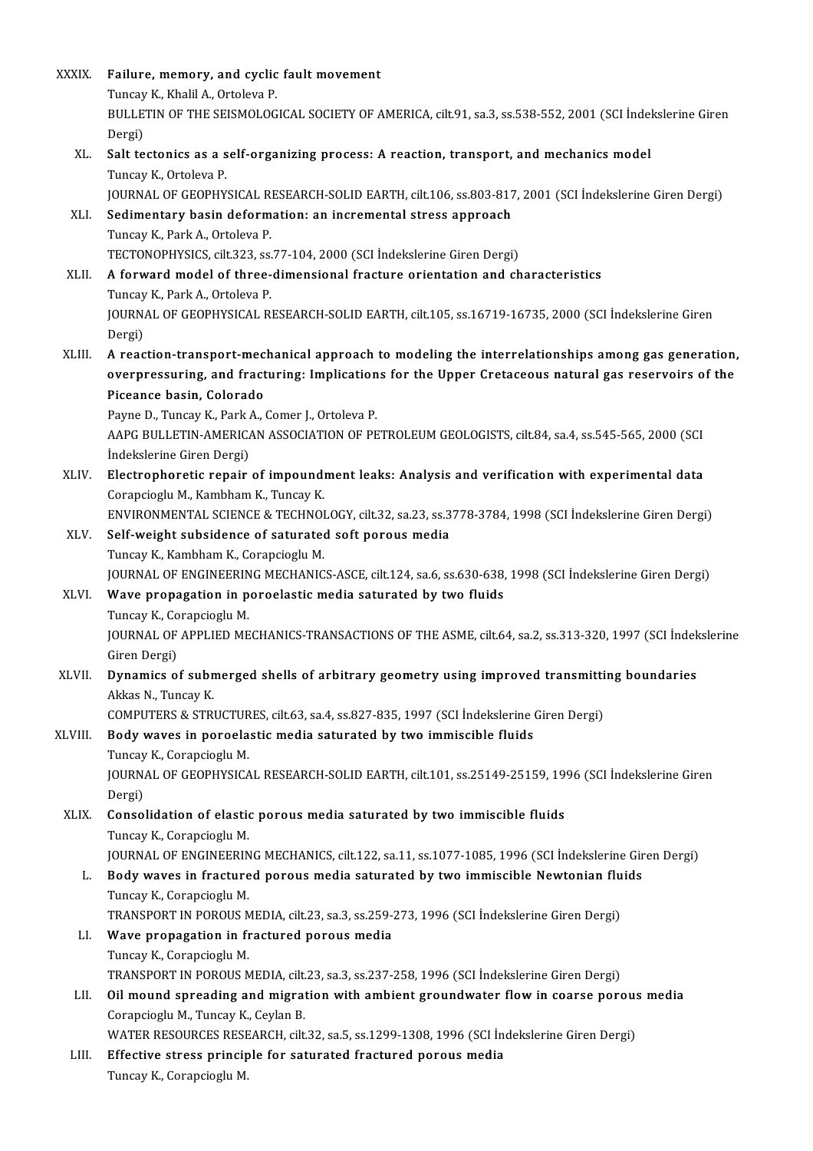| XXXIX.  | Failure, memory, and cyclic fault movement                                                                |
|---------|-----------------------------------------------------------------------------------------------------------|
|         | Tuncay K., Khalil A., Ortoleva P.                                                                         |
|         | BULLETIN OF THE SEISMOLOGICAL SOCIETY OF AMERICA, cilt.91, sa.3, ss.538-552, 2001 (SCI Indekslerine Giren |
|         | Dergi)                                                                                                    |
| XL.     | Salt tectonics as a self-organizing process: A reaction, transport, and mechanics model                   |
|         | Tuncay K., Ortoleva P.                                                                                    |
|         | JOURNAL OF GEOPHYSICAL RESEARCH-SOLID EARTH, cilt.106, ss.803-817, 2001 (SCI İndekslerine Giren Dergi)    |
| XLI.    | Sedimentary basin deformation: an incremental stress approach                                             |
|         | Tuncay K., Park A., Ortoleva P.                                                                           |
|         | TECTONOPHYSICS, cilt 323, ss.77-104, 2000 (SCI İndekslerine Giren Dergi)                                  |
| XLII.   | A forward model of three-dimensional fracture orientation and characteristics                             |
|         | Tuncay K, Park A, Ortoleva P.                                                                             |
|         | JOURNAL OF GEOPHYSICAL RESEARCH-SOLID EARTH, cilt 105, ss.16719-16735, 2000 (SCI İndekslerine Giren       |
|         | Dergi)                                                                                                    |
| XLIII.  | A reaction-transport-mechanical approach to modeling the interrelationships among gas generation,         |
|         | overpressuring, and fracturing: Implications for the Upper Cretaceous natural gas reservoirs of the       |
|         | Piceance basin, Colorado                                                                                  |
|         | Payne D., Tuncay K., Park A., Comer J., Ortoleva P.                                                       |
|         | AAPG BULLETIN-AMERICAN ASSOCIATION OF PETROLEUM GEOLOGISTS, cilt.84, sa.4, ss.545-565, 2000 (SCI          |
|         | İndekslerine Giren Dergi)                                                                                 |
| XLIV.   | Electrophoretic repair of impoundment leaks: Analysis and verification with experimental data             |
|         | Corapcioglu M., Kambham K., Tuncay K.                                                                     |
|         | ENVIRONMENTAL SCIENCE & TECHNOLOGY, cilt.32, sa.23, ss.3778-3784, 1998 (SCI İndekslerine Giren Dergi)     |
| XLV.    | Self-weight subsidence of saturated soft porous media                                                     |
|         | Tuncay K., Kambham K., Corapcioglu M.                                                                     |
| XLVI.   | JOURNAL OF ENGINEERING MECHANICS-ASCE, cilt.124, sa.6, ss.630-638, 1998 (SCI İndekslerine Giren Dergi)    |
|         | Wave propagation in poroelastic media saturated by two fluids<br>Tuncay K, Corapcioglu M.                 |
|         | JOURNAL OF APPLIED MECHANICS-TRANSACTIONS OF THE ASME, cilt.64, sa.2, ss.313-320, 1997 (SCI Indekslerine  |
|         | Giren Dergi)                                                                                              |
| XLVII.  | Dynamics of submerged shells of arbitrary geometry using improved transmitting boundaries                 |
|         | Akkas N., Tuncay K.                                                                                       |
|         | COMPUTERS & STRUCTURES, cilt.63, sa.4, ss.827-835, 1997 (SCI Indekslerine Giren Dergi)                    |
| XLVIII. | Body waves in poroelastic media saturated by two immiscible fluids                                        |
|         | Tuncay K, Corapcioglu M.                                                                                  |
|         | JOURNAL OF GEOPHYSICAL RESEARCH-SOLID EARTH, cilt.101, ss.25149-25159, 1996 (SCI İndekslerine Giren       |
|         | Dergi)                                                                                                    |
| XLIX.   | Consolidation of elastic porous media saturated by two immiscible fluids                                  |
|         | Tuncay K., Corapcioglu M.                                                                                 |
|         | JOURNAL OF ENGINEERING MECHANICS, cilt 122, sa 11, ss 1077-1085, 1996 (SCI İndekslerine Giren Dergi)      |
| L.      | Body waves in fractured porous media saturated by two immiscible Newtonian fluids                         |
|         | Tuncay K, Corapcioglu M.                                                                                  |
|         | TRANSPORT IN POROUS MEDIA, cilt.23, sa.3, ss.259-273, 1996 (SCI Indekslerine Giren Dergi)                 |
| LI.     | Wave propagation in fractured porous media                                                                |
|         | Tuncay K., Corapcioglu M.                                                                                 |
|         | TRANSPORT IN POROUS MEDIA, cilt.23, sa.3, ss.237-258, 1996 (SCI İndekslerine Giren Dergi)                 |
| LII.    | Oil mound spreading and migration with ambient groundwater flow in coarse porous media                    |
|         | Corapcioglu M., Tuncay K., Ceylan B.                                                                      |
|         | WATER RESOURCES RESEARCH, cilt.32, sa.5, ss.1299-1308, 1996 (SCI Indekslerine Giren Dergi)                |
| LIII.   | Effective stress principle for saturated fractured porous media                                           |
|         | Tuncay K., Corapcioglu M.                                                                                 |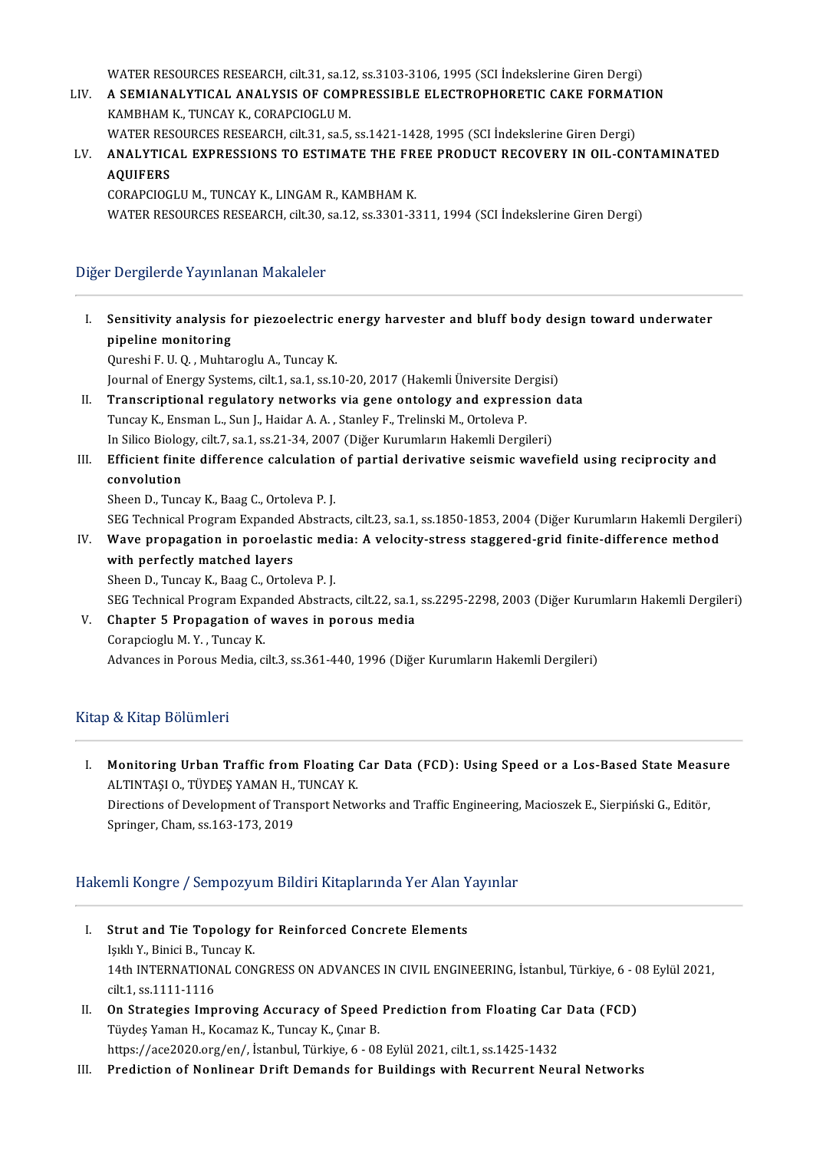WATER RESOURCES RESEARCH, cilt.31, sa.12, ss.3103-3106, 1995 (SCI İndekslerine Giren Dergi)

WATER RESOURCES RESEARCH, cilt.31, sa.12, ss.3103-3106, 1995 (SCI Indekslerine Giren Dergi)<br>LIV. A SEMIANALYTICAL ANALYSIS OF COMPRESSIBLE ELECTROPHORETIC CAKE FORMATION WATER RESOURCES RESEARCH, cilt.31, sa.12<br>A SEMIANALYTICAL ANALYSIS OF COM<br>KAMBHAM K., TUNCAY K., CORAPCIOGLU M.<br>WATER RESOURCES RESEARCH silt 31, sp.5. A SEMIANALYTICAL ANALYSIS OF COMPRESSIBLE ELECTROPHORETIC CAKE FORMAT<br>KAMBHAM K., TUNCAY K., CORAPCIOGLU M.<br>WATER RESOURCES RESEARCH, cilt.31, sa.5, ss.1421-1428, 1995 (SCI İndekslerine Giren Dergi)<br>ANALYTICAL EXPRESSIONS

### KAMBHAM K., TUNCAY K., CORAPCIOGLU M.<br>WATER RESOURCES RESEARCH, cilt.31, sa.5, ss.1421-1428, 1995 (SCI İndekslerine Giren Dergi)<br>AQUIEERS WATER RESOURCES RESEARCH, cilt.31, sa.5, ss.1421-1428, 1995 (SCI Indekslerine Giren Dergi)<br>ANALYTICAL EXPRESSIONS TO ESTIMATE THE FREE PRODUCT RECOVERY IN OIL-COI<br>AQUIFERS<br>CORAPCIOGLU M., TUNCAY K., LINGAM R., KAMBHAM K. ANALYTICAL EXPRESSIONS TO ESTIMATE THE FR<br>AQUIFERS<br>CORAPCIOGLU M., TUNCAY K., LINGAM R., KAMBHAM K.<br>WATER RESOURCES RESEARCH silt 20, sp.12, sp.2201, 2:

WATER RESOURCES RESEARCH, cilt.30, sa.12, ss.3301-3311, 1994 (SCI İndekslerine Giren Dergi)

#### Diğer Dergilerde Yayınlanan Makaleler

- I. Sensitivity analysis for piezoelectric energy harvester and bluff body design toward underwater **Sensitivity analysis f**<br>pipeline monitoring<br><sup>Qunochi E U Q Muhto</sup> Sensitivity analysis for piezoelectric<br>pipeline monitoring<br>Qureshi F. U.Q. , Muhtaroglu A., Tuncay K.<br>Journal of Energy Systems, sit 1, so 1, ss 1. pipeline monitoring<br>Qureshi F. U. Q. , Muhtaroglu A., Tuncay K.<br>Journal of Energy Systems, cilt.1, sa.1, ss.10-20, 2017 (Hakemli Üniversite Dergisi) II. Transcriptional regulatory networks via gene ontology and expression data Journal of Energy Systems, cilt.1, sa.1, ss.10-20, 2017 (Hakemli Üniversite De<br>Transcriptional regulatory networks via gene ontology and express<br>Tuncay K., Ensman L., Sun J., Haidar A. A. , Stanley F., Trelinski M., Ortole Transcriptional regulatory networks via gene ontology and expression<br>Tuncay K., Ensman L., Sun J., Haidar A. A. , Stanley F., Trelinski M., Ortoleva P.<br>In Silico Biology, cilt.7, sa.1, ss.21-34, 2007 (Diğer Kurumların Hake III. Efficient finite difference calculation of partial derivative seismic wavefield using reciprocity and convolution In Silico Biology, cilt.7, sa.1, ss.21-34, 2007 (Diğer Kurumların Hakemli Dergileri) Sheen D., Tuncay K., Baag C., Ortoleva P.J. c<mark>onvolution</mark><br>Sheen D., Tuncay K., Baag C., Ortoleva P. J.<br>SEG Technical Program Expanded Abstracts, cilt.23, sa.1, ss.1850-1853, 2004 (Diğer Kurumların Hakemli Dergileri)<br>Wayo propagation in panaelastis modia: A velasity Sheen D., Tuncay K., Baag C., Ortoleva P. J.<br>SEG Technical Program Expanded Abstracts, cilt.23, sa.1, ss.1850-1853, 2004 (Diğer Kurumların Hakemli Dergil<br>IV. Wave propagation in poroelastic media: A velocity-stress sta
- SEG Technical Program Expanded<br>Wave propagation in poroelas<br>with perfectly matched layers<br>Sheen D. Tungey K. Boag C. Oxtok Wave propagation in poroelastic med<br>with perfectly matched layers<br>Sheen D., Tuncay K., Baag C., Ortoleva P. J.<br>SEC Technisel Brogram Eunanded Abstrac with perfectly matched layers<br>Sheen D., Tuncay K., Baag C., Ortoleva P. J.<br>SEG Technical Program Expanded Abstracts, cilt.22, sa.1, ss.2295-2298, 2003 (Diğer Kurumların Hakemli Dergileri)<br>Chapter E. Propogation of wayes in Sheen D., Tuncay K., Baag C., Ortoleva P. J.<br>SEG Technical Program Expanded Abstracts, cilt.22, sa.1<br>V. Chapter 5 Propagation of waves in porous media<br>Corapcioglu M. Y. , Tuncay K.
	-
- 
- SEG Technical Program Expa<br>Chapter 5 Propagation of<br>Corapcioglu M.Y., Tuncay K.<br>Advances in Pereus Media si Advances in Porous Media, cilt.3, ss.361-440, 1996 (Diğer Kurumların Hakemli Dergileri)

#### Kitap & Kitap Bölümleri

I. Monitoring Urban Traffic fromFloating Car Data (FCD): Using Speed or a Los-Based StateMeasure **Monitoring Urban Traffic from Floating<br>ALTINTAŞI O., TÜYDEŞ YAMAN H., TUNCAY K.<br>Direstiane of Development of Transport Natu** Monitoring Urban Traffic from Floating Car Data (FCD): Using Speed or a Los-Based State Measu<br>ALTINTAȘI O., TÜYDEȘ YAMAN H., TUNCAY K.<br>Directions of Development of Transport Networks and Traffic Engineering, Macioszek E., ALTINTAȘI O., TÜYDEȘ YAMAN H.,<br>Directions of Development of Tran<br>Springer, Cham, ss.163-173, 2019

## Springer, Cham, ss.163-173, 2019<br>Hakemli Kongre / Sempozyum Bildiri Kitaplarında Yer Alan Yayınlar

- akemli Kongre / Sempozyum Bildiri Kitaplarında Yer Alan Y<br>I. Strut and Tie Topology for Reinforced Concrete Elements<br>Iold Y. Binici B. Tungay K **Strut and Tie Topology**<br>Işıklı Y., Binici B., Tuncay K.<br>14th INTERNATIONAL CON Strut and Tie Topology for Reinforced Concrete Elements<br>Işıklı Y., Binici B., Tuncay K.<br>14th INTERNATIONAL CONGRESS ON ADVANCES IN CIVIL ENGINEERING, İstanbul, Türkiye, 6 - 08 Eylül 2021,<br>silt 1, ss 1111 1111 1116 Işıklı Y., Binici B., Tur<br>14th INTERNATION.<br>cilt.1, ss.1111-1116 14th INTERNATIONAL CONGRESS ON ADVANCES IN CIVIL ENGINEERING, İstanbul, Türkiye, 6 - 0<br>cilt.1, ss.1111-1116<br>II. On Strategies Improving Accuracy of Speed Prediction from Floating Car Data (FCD)<br>Tüydes Veman H. Kesamas K. T
- cilt.1, ss.1111-1116<br>II. On Strategies Improving Accuracy of Speed Prediction from Floating Car Data (FCD)<br>Tüydeş Yaman H., Kocamaz K., Tuncay K., Çınar B. https://ace2020.org/en/, İstanbul, Türkiye, 6 - 08 Eylül 2021, cilt.1, ss.1425-1432
- III. Prediction of Nonlinear Drift Demands for Buildings with Recurrent Neural Networks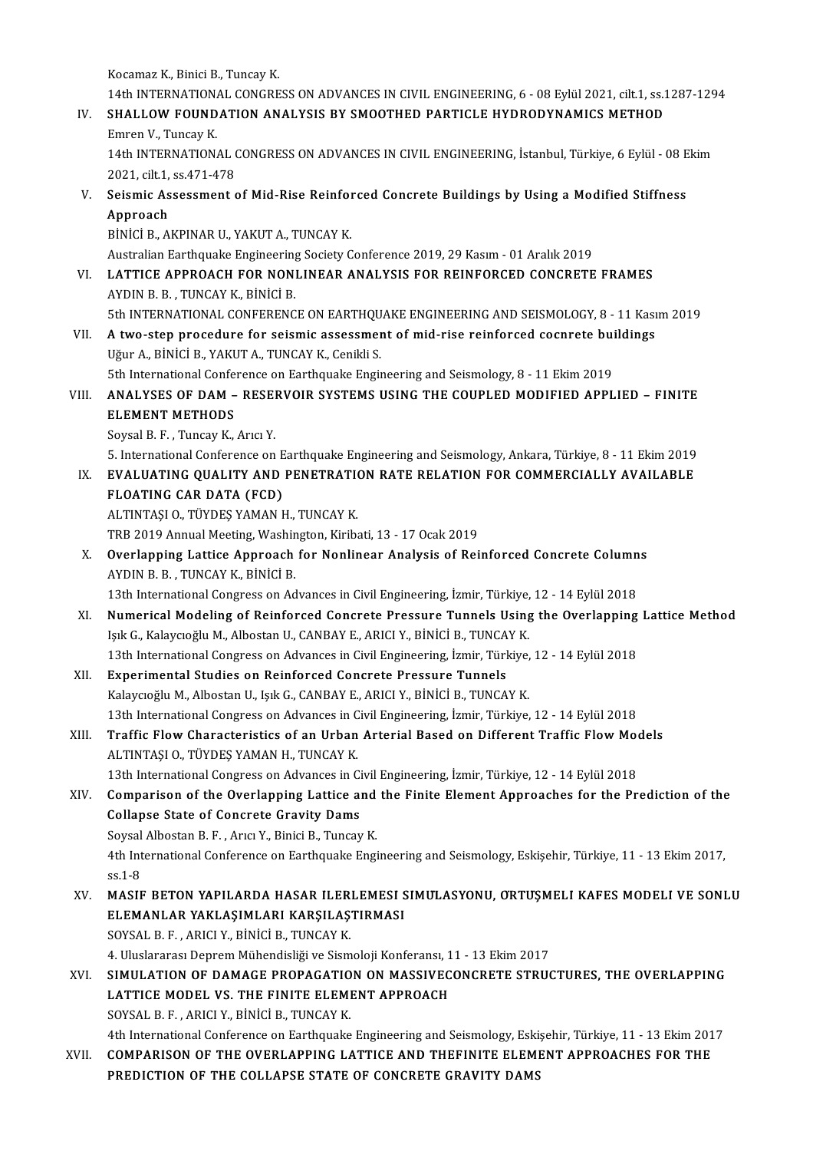Kocamaz K., Binici B., Tuncay K.

Kocamaz K., Binici B., Tuncay K.<br>14th INTERNATIONAL CONGRESS ON ADVANCES IN CIVIL ENGINEERING, 6 - 08 Eylül 2021, cilt.1, ss.1287-1294<br>SHALLOW FOUND ATION ANALYSIS BY SMOOTHED BARTICLE HYDRODYNAMICS METHOD

### IV. SHALLOW FOUNDATION ANALYSIS BY SMOOTHED PARTICLE HYDRODYNAMICS METHOD<br>Emren V., Tuncav K. 14th INTERNATION.<br>SHALLOW FOUND<br>Emren V., Tuncay K.<br>14th INTERNATION. SHALLOW FOUNDATION ANALYSIS BY SMOOTHED PARTICLE HYDRODYNAMICS METHOD<br>Emren V., Tuncay K.<br>14th INTERNATIONAL CONGRESS ON ADVANCES IN CIVIL ENGINEERING, İstanbul, Türkiye, 6 Eylül - 08 Ekim<br>2021. cilt 1. cs 471.479

Emren V., Tuncay K.<br>14th INTERNATIONAL (2021, cilt.1, ss.471-478) 14th INTERNATIONAL CONGRESS ON ADVANCES IN CIVIL ENGINEERING, İstanbul, Türkiye, 6 Eylül - 08 E<br>2021, cilt.1, ss.471-478<br>V. Seismic Assessment of Mid-Rise Reinforced Concrete Buildings by Using a Modified Stiffness<br>Annroac

2021, cilt.1,<br>Seismic As<br>Approach<br>Pinici P. A Seismic Assessment of Mid-Rise Reinfor<br>Approach<br>BİNİCİ B., AKPINAR U., YAKUT A., TUNCAY K.<br>Australian Farthouske Engineering Society C

Approach<br>BİNİCİ B., AKPINAR U., YAKUT A., TUNCAY K.<br>Australian Earthquake Engineering Society Conference 2019, 29 Kasım - 01 Aralık 2019

BİNİCİ B., AKPINAR U., YAKUT A., TUNCAY K.<br>Australian Earthquake Engineering Society Conference 2019, 29 Kasım - 01 Aralık 2019<br>VI. LATTICE APPROACH FOR NONLINEAR ANALYSIS FOR REINFORCED CONCRETE FRAMES Australian Earthquake Engineering<br>LATTICE APPROACH FOR NON<br>AYDIN B. B. , TUNCAY K., BİNİCİ B.<br>Eth INTERNATIONAL CONEERENC LATTICE APPROACH FOR NONLINEAR ANALYSIS FOR REINFORCED CONCRETE FRAMES<br>AYDIN B. B. , TUNCAY K., BINICI B.<br>5th INTERNATIONAL CONFERENCE ON EARTHQUAKE ENGINEERING AND SEISMOLOGY, 8 - 11 Kasım 2019<br>A two stan prosedure for se AYDIN B. B., TUNCAY K., BINICI B.<br>5th INTERNATIONAL CONFERENCE ON EARTHQUAKE ENGINEERING AND SEISMOLOGY, 8 - 11 Kasi<br>VII. A two-step procedure for seismic assessment of mid-rise reinforced cocnrete buildings<br>Uğur A. Binici

## 5th INTERNATIONAL CONFERENCE ON EARTHQU<br>A two-step procedure for seismic assessmer<br>Uğur A., BİNİCİ B., YAKUT A., TUNCAY K., Cenikli S.<br>Eth International Conference on Farthqualta Engir A two-step procedure for seismic assessment of mid-rise reinforced cocnrete bui<br>Uğur A., BİNİCİ B., YAKUT A., TUNCAY K., Cenikli S.<br>5th International Conference on Earthquake Engineering and Seismology, 8 - 11 Ekim 2019<br>AN

### Uğur A., BİNİCİ B., YAKUT A., TUNCAY K., Cenikli S.<br>5th International Conference on Earthquake Engineering and Seismology, 8 - 11 Ekim 2019<br>VIII. ANALYSES OF DAM – RESERVOIR SYSTEMS USING THE COUPLED MODIFIED APPLIED – 5th International Confer<br>ANALYSES OF DAM<br>ELEMENT METHODS<br>Seveel B. E. Tunger: V **ANALYSES OF DAM – RESEI<br>ELEMENT METHODS<br>Soysal B. F. , Tuncay K., Arıcı Y.**<br>E. International Conference on E<mark>LEMENT METHODS</mark><br>Soysal B. F. , Tuncay K., Arıcı Y.<br>5. International Conference on Earthquake Engineering and Seismology, Ankara, Türkiye, 8 - 11 Ekim 2019<br>EVALUATING QUALITY AND PENETRATION RATE RELATION FOR GOMMERCIALLY

Soysal B. F. , Tuncay K., Arıcı Y.<br>5. International Conference on Earthquake Engineering and Seismology, Ankara, Türkiye, 8 - 11 Ekim 2019<br>IX. EVALUATING QUALITY AND PENETRATION RATE RELATION FOR COMMERCIALLY AVAILABLE 5. International Conference on E<br>EVALUATING QUALITY AND<br>FLOATING CAR DATA (FCD)<br>ALTINTASLO TÜVDES VAMAN L IX. EVALUATING QUALITY AND PENETRATION RATE RELATION FOR COMMERCIALLY AVAILABLE FLOATING CAR DATA (FCD)<br>FLOATING CAR DATA (FCD)<br>ALTINTASI O., TÜYDES YAMAN H., TUNCAY K. FLOATING CAR DATA (FCD)<br>ALTINTAȘI O., TÜYDEȘ YAMAN H., TUNCAY K.<br>TRB 2019 Annual Meeting, Washington, Kiribati, 13 - 17 Ocak 2019<br>Querlanning Lattice Annreach for Nonlinear Analysis of Boi

ALTINTAȘI O., TÜYDEȘ YAMAN H., TUNCAY K.<br>TRB 2019 Annual Meeting, Washington, Kiribati, 13 - 17 Ocak 2019<br>X. Overlapping Lattice Approach for Nonlinear Analysis of Reinforced Concrete Columns<br>AYDIN B. B. TUNCAY K. Pinici B TRB 2019 Annual Meeting, Washir<br>**Overlapping Lattice Approach**<br>AYDIN B. B. , TUNCAY K., BİNİCİ B.<br>12th International Congress on Ad Overlapping Lattice Approach for Nonlinear Analysis of Reinforced Concrete Column<br>AYDIN B. B. , TUNCAY K., BINICI B.<br>13th International Congress on Advances in Civil Engineering, İzmir, Türkiye, 12 - 14 Eylül 2018<br>Numerise

- AYDIN B. B. , TUNCAY K., BINICI B.<br>13th International Congress on Advances in Civil Engineering, İzmir, Türkiye, 12 14 Eylül 2018<br>XI. Numerical Modeling of Reinforced Concrete Pressure Tunnels Using the Overlapping Latti 13th International Congress on Advances in Civil Engineering, İzmir, Türkiye,<br>Numerical Modeling of Reinforced Concrete Pressure Tunnels Using<br>Işık G., Kalaycıoğlu M., Albostan U., CANBAY E., ARICI Y., BİNİCİ B., TUNCAY K. Numerical Modeling of Reinforced Concrete Pressure Tunnels Using the Overlapping<br>Işık G., Kalaycıoğlu M., Albostan U., CANBAY E., ARICI Y., BİNİCİ B., TUNCAY K.<br>13th International Congress on Advances in Civil Engineering, Işık G., Kalaycıoğlu M., Albostan U., CANBAY E., ARICI Y., BİNİCİ B., TUNCA<br>13th International Congress on Advances in Civil Engineering, İzmir, Türk<br>XII. Experimental Studies on Reinforced Concrete Pressure Tunnels<br>Kalayg
- 13th International Congress on Advances in Civil Engineering, İzmir, Türkiye, 12 14 Eylül 2018<br>Experimental Studies on Reinforced Concrete Pressure Tunnels<br>Kalaycıoğlu M., Albostan U., Işık G., CANBAY E., ARICI Y., BİNİC Experimental Studies on Reinforced Concrete Pressure Tunnels<br>Kalaycıoğlu M., Albostan U., Işık G., CANBAY E., ARICI Y., BİNİCİ B., TUNCAY K.<br>13th International Congress on Advances in Civil Engineering, İzmir, Türkiye, 12 Kalaycıoğlu M., Albostan U., Işık G., CANBAY E., ARICI Y., BİNİCİ B., TUNCAY K.<br>13th International Congress on Advances in Civil Engineering, İzmir, Türkiye, 12 - 14 Eylül 2018<br>XIII. Traffic Flow Characteristics of an
- ALTINTAŞI O., TÜYDEŞ YAMAN H., TUNCAY K.<br>13th International Congress on Advances in Civil Engineering, İzmir, Türkiye, 12 14 Eylül 2018 Traffic Flow Characteristics of an Urban Arterial Based on Different Traffic Flow Models
- XIV. Comparison of the Overlapping Lattice and the Finite Element Approaches for the Prediction of the Collapse State of Concrete Gravity Dams Comparison of the Overlapping Lattice and<br>Collapse State of Concrete Gravity Dams<br>Soysal Albostan B. F. , Arıcı Y., Binici B., Tuncay K.<br>4th International Conference on Farthauelys Engi

4th International Conference on Earthquake Engineering and Seismology, Eskişehir, Türkiye, 11 - 13 Ekim 2017, ss.1-8 Soysal<br>4th Int<br>ss.1-8<br>MASIE 4th International Conference on Earthquake Engineering and Seismology, Eskişehir, Türkiye, 11 - 13 Ekim 2017,<br>SS.1-8<br>XV. MASIF BETON YAPILARDA HASAR ILERLEMESI SIMULASYONU, ÖRTÜŞMELI KAFES MÖDELI VE SONLU

ss.1-8<br>MASIF BETON YAPILARDA HASAR ILERLEMESI S<br>ELEMANLAR YAKLAŞIMLARI KARŞILAŞTIRMASI<br>SOYSAL B.E., ARICI V. BİNİCİ B. TUNCAY K MASIF BETON YAPILARDA HASAR ILER<br>ELEMANLAR YAKLAŞIMLARI KARŞILAŞ<br>SOYSAL B. F. , ARICI Y., BİNİCİ B., TUNCAY K.<br>4. Hivelararev Denrem Mühandieliği ve Siem ELEMANLAR YAKLAŞIMLARI KARŞILAŞTIRMASI<br>SOYSAL B. F. , ARICI Y., BİNİCİ B., TUNCAY K.<br>4. Uluslararası Deprem Mühendisliği ve Sismoloji Konferansı. 11 - 13 Ekim 2017

XVI. SIMULATION OF DAMAGE PROPAGATION ON MASSIVECONCRETE STRUCTURES, THE OVERLAPPING 4. Uluslararası Deprem Mühendisliği ve Sismoloji Konferansı, 1<br>SIMULATION OF DAMAGE PROPAGATION ON MASSIVEC<br>LATTICE MODEL VS. THE FINITE ELEMENT APPROACH<br>SOVSAL B.E., APICLY, PİNİCİ B. TINCAY K SIMULATION OF DAMAGE PROPAGATIO<br>LATTICE MODEL VS. THE FINITE ELEMI<br>SOYSAL B. F. , ARICI Y., BİNİCİ B., TUNCAY K.<br>4th International Conference on Farthauslic 50YSAL B. F., ARICI Y., BİNİCİ B., TUNCAY K.<br>4th International Conference on Earthquake Engineering and Seismology, Eskişehir, Türkiye, 11 - 13 Ekim 2017

SOYSAL B. F. , ARICI Y., BINICI B., TUNCAY K.<br>4th International Conference on Earthquake Engineering and Seismology, Eskişehir, Türkiye, 11 - 13 Ekim 201<br>XVII. COMPARISON OF THE OVERLAPPING LATTICE AND THEFINITE ELEMENT AP 4th International Conference on Earthquake Engineering and Seismology, Eski<br>COMPARISON OF THE OVERLAPPING LATTICE AND THEFINITE ELEMI<br>PREDICTION OF THE COLLAPSE STATE OF CONCRETE GRAVITY DAMS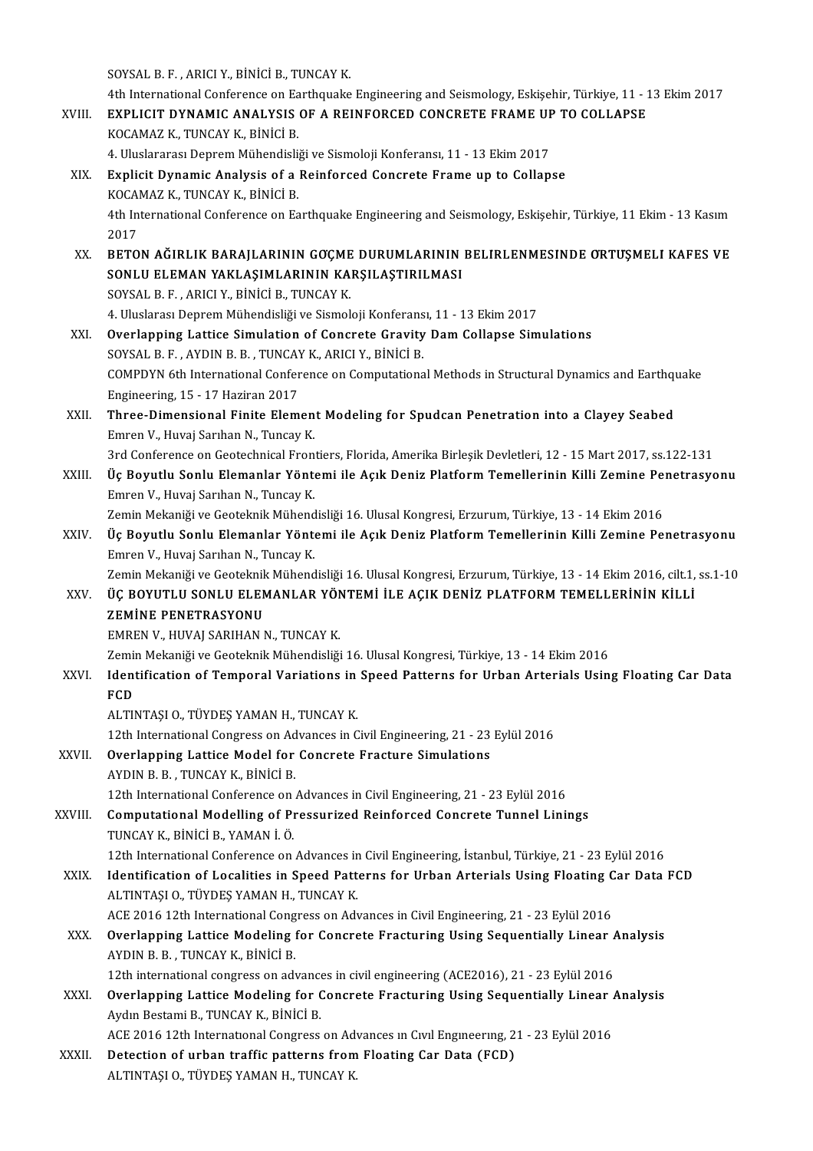SOYSALB.F. ,ARICIY.,BİNİCİB.,TUNCAYK.

4th International Conference on Earthquake Engineering and Seismology, Eskişehir, Türkiye, 11 - 13 Ekim 2017 SOYSAL B. F., ARICI Y., BINICI B., TUNCAY K.<br>4th International Conference on Earthquake Engineering and Seismology, Eskişehir, Türkiye, 11 - 1<br>XVIII. EXPLICIT DYNAMIC ANALYSIS OF A REINFORCED CONCRETE FRAME UP TO COLLAPSE 4th International Conference on Ea<br>EXPLICIT DYNAMIC ANALYSIS<br>KOCAMAZ K., TUNCAY K., BİNİCİ B.<br>4. Hivelararesi Danram Mühandiali EXPLICIT DYNAMIC ANALYSIS OF A REINFORCED CONCRETE FRAME UF<br>KOCAMAZ K., TUNCAY K., BİNİCİ B.<br>4. Uluslararası Deprem Mühendisliği ve Sismoloji Konferansı, 11 - 13 Ekim 2017<br>Evnlicit Dunamic Analysis of a Beinforced Concrete KOCAMAZ K., TUNCAY K., BİNİCİ B.<br>4. Uluslararası Deprem Mühendisliği ve Sismoloji Konferansı, 11 - 13 Ekim 2017<br>XIX. Explicit Dynamic Analysis of a Reinforced Concrete Frame up to Collapse<br>KOCAMAZ K. TUNCAY K. PİNİCİ P 4. Uluslararası Deprem Mühendisli<br>Explicit Dynamic Analysis of a<br>KOCAMAZ K., TUNCAY K., BİNİCİ B.<br>4th International Conference on Fa 4th International Conference on Earthquake Engineering and Seismology, Eskişehir, Türkiye, 11 Ekim - 13 Kasım<br>2017 KOCAMAZ K., TUNCAY K., BİNİCİ B. 4th International Conference on Earthquake Engineering and Seismology, Eskişehir, Türkiye, 11 Ekim - 13 Kasım<br>2017<br>XX. BETON AĞIRLIK BARAJLARININ GOÇME DURUMLARININ BELIRLENMESINDE ORTUŞMELI KAFES VE<br>SONU U ELEMAN YAKLASIM 2017<br>BETON AĞIRLIK BARAJLARININ GOÇME DURUMLARININ<br>SONLU ELEMAN YAKLAŞIMLARININ KARŞILAŞTIRILMASI<br>SOYSAL B.E., ARICI V. BİNİCİ B. TUNÇAY K BETON AĞIRLIK BARAJLARININ GOÇME<br>SONLU ELEMAN YAKLAŞIMLARININ KA<br>SOYSAL B. F. , ARICI Y., BİNİCİ B., TUNCAY K.<br>4. Huslarası Danram Mühandisliği ve Sismal 50NLU ELEMAN YAKLAŞIMLARININ KARŞILAŞTIRILMASI<br>1993AL B. F. , ARICI Y., BİNİCİ B., TUNCAY K.<br>4. Uluslarası Deprem Mühendisliği ve Sismoloji Konferansı, 11 - 13 Ekim 2017 SOYSAL B. F. , ARICI Y., BİNİCİ B., TUNCAY K.<br>4. Uluslarası Deprem Mühendisliği ve Sismoloji Konferansı, 11 - 13 Ekim 2017<br>XXI. Overlapping Lattice Simulation of Concrete Gravity Dam Collapse Simulations<br>SOYSAL B. E. AVDIN 4. Uluslarası Deprem Mühendisliği ve Sismoloji Konferans<br>**Overlapping Lattice Simulation of Concrete Gravity**<br>SOYSAL B. F. , AYDIN B. B. , TUNCAY K., ARICI Y., BİNİCİ B.<br>COMPDYN Eth International Conference on Computationa COMPDYN 6th International Conference on Computational Methods in Structural Dynamics and Earthquake<br>Engineering, 15 - 17 Haziran 2017 SOYSAL B. F., AYDIN B. B., TUNCAY K., ARICI Y., BINICI B. COMPDYN 6th International Conference on Computational Methods in Structural Dynamics and Earthqu<br>Engineering, 15 - 17 Haziran 2017<br>XXII. Three-Dimensional Finite Element Modeling for Spudcan Penetration into a Clayey Seabe Engineering, 15 - 17 Haziran 2017<br>**Three-Dimensional Finite Elemen**<br>Emren V., Huvaj Sarıhan N., Tuncay K.<br><sup>2nd</sup> Conference on Costesbnisal Enon Three-Dimensional Finite Element Modeling for Spudcan Penetration into a Clayey Seabed<br>Emren V., Huvaj Sarıhan N., Tuncay K.<br>3rd Conference on Geotechnical Frontiers, Florida, Amerika Birleşik Devletleri, 12 - 15 Mart 2017 Emren V., Huvaj Sarıhan N., Tuncay K.<br>3rd Conference on Geotechnical Frontiers, Florida, Amerika Birleşik Devletleri, 12 - 15 Mart 2017, ss.122-131<br>XXIII. Üç Boyutlu Sonlu Elemanlar Yöntemi ile Açık Deniz Platform Teme 3rd Conference on Geotechnical Fron<br>Üç Boyutlu Sonlu Elemanlar Yönte<br>Emren V., Huvaj Sarıhan N., Tuncay K.<br>Zamin Mekaniği ve Ceoteknik Mühand Üç Boyutlu Sonlu Elemanlar Yöntemi ile Açık Deniz Platform Temellerinin Killi Zemine Pe:<br>Emren V., Huvaj Sarıhan N., Tuncay K.<br>Zemin Mekaniği ve Geoteknik Mühendisliği 16. Ulusal Kongresi, Erzurum, Türkiye, 13 - 14 Ekim 20 Emren V., Huvaj Sarıhan N., Tuncay K.<br>Zemin Mekaniği ve Geoteknik Mühendisliği 16. Ulusal Kongresi, Erzurum, Türkiye, 13 - 14 Ekim 2016<br>XXIV. Üç Boyutlu Sonlu Elemanlar Yöntemi ile Açık Deniz Platform Temellerinin Killi Ze Zemin Mekaniği ve Geoteknik Mühend<br>Üç Boyutlu Sonlu Elemanlar Yönte<br>Emren V., Huvaj Sarıhan N., Tuncay K.<br>Zamin Mekaniği ve Ceoteknik Mühend Üç Boyutlu Sonlu Elemanlar Yöntemi ile Açık Deniz Platform Temellerinin Killi Zemine Penetrasyonu<br>Emren V., Huvaj Sarıhan N., Tuncay K.<br>Zemin Mekaniği ve Geoteknik Mühendisliği 16. Ulusal Kongresi, Erzurum, Türkiye, 13 - 1 Emren V., Huvaj Sarıhan N., Tuncay K.<br>Zemin Mekaniği ve Geoteknik Mühendisliği 16. Ulusal Kongresi, Erzurum, Türkiye, 13 - 14 Ekim 2016, cilt.1,<br>XXV. ÜÇ BOYUTLU SONLU ELEMANLAR YÖNTEMİ İLE AÇIK DENİZ PLATFORM TEMELLERİ Zemin Mekaniği ve Geoteknik Mühendisliği 16. Ulusal Kongresi, Erzurum, Türkiye, 13 - 14 Ekim 2016, cilt.1, ss.1-10 EMREN V., HUVAJ SARIHAN N., TUNCAY K. Z<mark>EMİNE PENETRASYONU</mark><br>EMREN V., HUVAJ SARIHAN N., TUNCAY K.<br>Zemin Mekaniği ve Geoteknik Mühendisliği 16. Ulusal Kongresi, Türkiye, 13 - 14 Ekim 2016<br>Identification of Termanal Veniations in Speed Betterns for Urban Arteria XXVI. Identification of Temporal Variations in Speed Patterns for Urban Arterials Using Floating Car Data Zemir<br>Ident<br>FCD<br>ALTIM ALTINTAŞI O., TÜYDEŞ YAMAN H., TUNCAY K. 12th International Congress on Advances in Civil Engineering, 21 - 23 Eylül 2016 ALTINTAȘI O., TÜYDEȘ YAMAN H., TUNCAY K.<br>12th International Congress on Advances in Civil Engineering, 21 - 23<br>XXVII. Overlapping Lattice Model for Concrete Fracture Simulations<br>AVDIN B. B., TUNCAY K. BINICI B. 12th International Congress on Ad<br>**Overlapping Lattice Model for**<br>AYDIN B. B. , TUNCAY K., BINICI B. 12th International Conference on Advances in Civil Engineering, 21 - 23 Eylül 2016 AYDIN B. B. , TUNCAY K., BINICI B.<br>12th International Conference on Advances in Civil Engineering, 21 - 23 Eylül 2016<br>XXVIII. Computational Modelling of Pressurized Reinforced Concrete Tunnel Linings<br>TUNCAY K. PINICI P. YA 12th International Conference on<br>Computational Modelling of P<br>TUNCAY K., BİNİCİ B., YAMAN İ. Ö.<br>12th International Conference on 12 Computational Modelling of Pressurized Reinforced Concrete Tunnel Linings<br>TUNCAY K., BİNİCİ B., YAMAN İ. Ö.<br>12th International Conference on Advances in Civil Engineering, İstanbul, Türkiye, 21 - 23 Eylül 2016<br>Identific TUNCAY K., BINICI B., YAMAN I. Ö.<br>12th International Conference on Advances in Civil Engineering, İstanbul, Türkiye, 21 - 23 Eylül 2016<br>21 TINEASLO, TÜVDES VAMAN H. TUNCAV K.<br>21 TINEASLO, TÜVDES VAMAN H. TUNCAV K. 12th International Conference on Advances in<br>Identification of Localities in Speed Patt<br>ALTINTAȘI O., TÜYDEŞ YAMAN H., TUNCAY K. Identification of Localities in Speed Patterns for Urban Arterials Using Floating C<br>ALTINTAȘI O., TÜYDEȘ YAMAN H., TUNCAY K.<br>ACE 2016 12th International Congress on Advances in Civil Engineering, 21 - 23 Eylül 2016<br>Querlan ALTINTAȘI O., TÜYDEȘ YAMAN H., TUNCAY K.<br>ACE 2016 12th International Congress on Advances in Civil Engineering, 21 - 23 Eylül 2016<br>XXX. Overlapping Lattice Modeling for Concrete Fracturing Using Sequentially Linear Analysi ACE 2016 12th International Congress on Advances in Civil Engineering, 21 - 23 Eylül 2016<br>Overlapping Lattice Modeling for Concrete Fracturing Using Sequentially Linear<br>AYDIN B. B., TUNCAY K., BİNİCİ B.<br>12th international Overlapping Lattice Modeling for Concrete Fracturing Using Sequentially Linear A<br>12th international congress on advances in civil engineering (ACE2016), 21 - 23 Eylül 2016<br>Overlapping Lattice Modeling for Congrete Fracturi AYDIN B. B. , TUNCAY K., BINICI B.<br>12th international congress on advances in civil engineering (ACE2016), 21 - 23 Eylül 2016<br>XXXI. Overlapping Lattice Modeling for Concrete Fracturing Using Sequentially Linear Analysis<br>Ar 12th international congress on advance<br>**Overlapping Lattice Modeling for (**<br>Aydın Bestami B., TUNCAY K., BİNİCİ B. Overlapping Lattice Modeling for Concrete Fracturing Using Sequentially Linear<br>Aydın Bestami B., TUNCAY K., BİNİCİ B.<br>ACE 2016 12th International Congress on Advances ın Cıvıl Engineering, 21 - 23 Eylül 2016<br>Detestion of u Aydın Bestami B., TUNCAY K., BİNİCİ B.<br>ACE 2016 12th International Congress on Advances in Civil Engineering, 2<br>XXXII. Detection of urban traffic patterns from Floating Car Data (FCD) ACE 2016 12th International Congress on Ad<br><mark>Detection of urban traffic patterns from</mark><br>ALTINTAŞI O., TÜYDEŞ YAMAN H., TUNCAY K.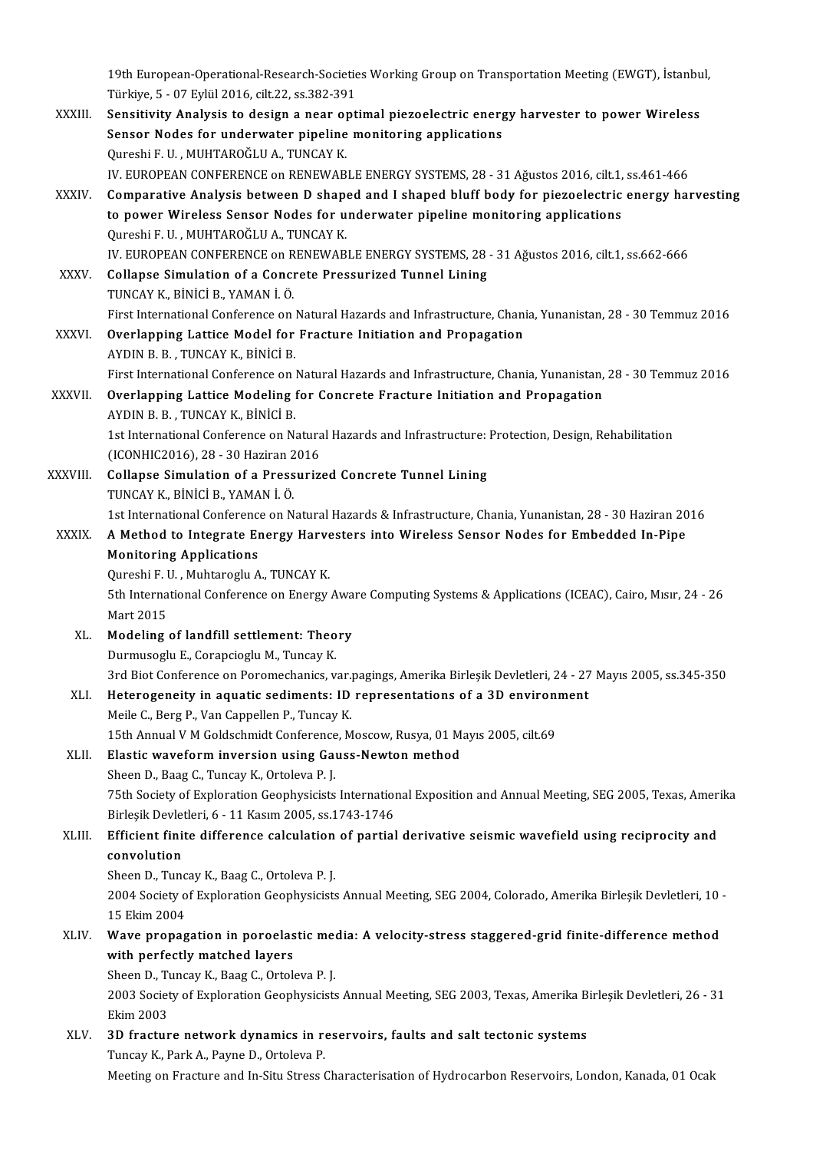19th European-Operational-Research-Societies Working Group on Transportation Meeting (EWGT), İstanbul,<br>Türkiye E. 07 Erlül 2016 silt 22 se 282 201 19th European-Operational-Research-Societie<br>Türkiye, 5 - 07 Eylül 2016, cilt.22, ss.382-391<br>Sensitivity Analysis to design a near ent 19th European-Operational-Research-Societies Working Group on Transportation Meeting (EWGT), İstanbu<br>Türkiye, 5 - 07 Eylül 2016, cilt.22, ss.382-391<br>XXXIII. Sensitivity Analysis to design a near optimal piezoelectric energ Türkiye, 5 - 07 Eylül 2016, cilt.22, ss.382-391

| XXXIII.  | Sensitivity Analysis to design a near optimal piezoelectric energy harvester to power Wireless                                                                          |
|----------|-------------------------------------------------------------------------------------------------------------------------------------------------------------------------|
|          | Sensor Nodes for underwater pipeline monitoring applications                                                                                                            |
|          | Qureshi F. U. , MUHTAROĞLU A., TUNCAY K.                                                                                                                                |
|          | IV. EUROPEAN CONFERENCE on RENEWABLE ENERGY SYSTEMS, 28 - 31 Ağustos 2016, cilt.1, ss.461-466                                                                           |
| XXXIV.   | Comparative Analysis between D shaped and I shaped bluff body for piezoelectric energy harvesting                                                                       |
|          | to power Wireless Sensor Nodes for underwater pipeline monitoring applications                                                                                          |
|          | Qureshi F. U., MUHTAROĞLU A., TUNCAY K.                                                                                                                                 |
|          | IV. EUROPEAN CONFERENCE on RENEWABLE ENERGY SYSTEMS, 28 - 31 Ağustos 2016, cilt1, ss.662-666                                                                            |
| XXXV.    | Collapse Simulation of a Concrete Pressurized Tunnel Lining                                                                                                             |
|          | TUNCAY K, BİNİCİ B, YAMAN İ. Ö.                                                                                                                                         |
|          | First International Conference on Natural Hazards and Infrastructure, Chania, Yunanistan, 28 - 30 Temmuz 2016                                                           |
| XXXVI.   | Overlapping Lattice Model for Fracture Initiation and Propagation                                                                                                       |
|          | AYDIN B. B., TUNCAY K., BINICI B.                                                                                                                                       |
|          | First International Conference on Natural Hazards and Infrastructure, Chania, Yunanistan, 28 - 30 Temmuz 2016                                                           |
| XXXVII.  | Overlapping Lattice Modeling for Concrete Fracture Initiation and Propagation                                                                                           |
|          | AYDIN B. B., TUNCAY K., BİNİCİ B.                                                                                                                                       |
|          | 1st International Conference on Natural Hazards and Infrastructure: Protection, Design, Rehabilitation                                                                  |
|          | (ICONHIC2016), 28 - 30 Haziran 2016                                                                                                                                     |
| XXXVIII. | Collapse Simulation of a Pressurized Concrete Tunnel Lining                                                                                                             |
|          | TUNCAY K., BİNİCİ B., YAMAN İ. Ö.                                                                                                                                       |
|          | 1st International Conference on Natural Hazards & Infrastructure, Chania, Yunanistan, 28 - 30 Haziran 2016                                                              |
| XXXIX.   | A Method to Integrate Energy Harvesters into Wireless Sensor Nodes for Embedded In-Pipe                                                                                 |
|          | <b>Monitoring Applications</b>                                                                                                                                          |
|          | Qureshi F. U., Muhtaroglu A., TUNCAY K.                                                                                                                                 |
|          | 5th International Conference on Energy Aware Computing Systems & Applications (ICEAC), Cairo, Mısır, 24 - 26                                                            |
|          | Mart 2015                                                                                                                                                               |
| XL.      | Modeling of landfill settlement: Theory                                                                                                                                 |
|          | Durmusoglu E., Corapcioglu M., Tuncay K.                                                                                                                                |
|          | 3rd Biot Conference on Poromechanics, var.pagings, Amerika Birleşik Devletleri, 24 - 27 Mayıs 2005, ss.345-350                                                          |
| XLI.     | Heterogeneity in aquatic sediments: ID representations of a 3D environment                                                                                              |
|          | Meile C., Berg P., Van Cappellen P., Tuncay K.                                                                                                                          |
|          | 15th Annual V M Goldschmidt Conference, Moscow, Rusya, 01 Mayıs 2005, cilt.69                                                                                           |
| XLII.    | Elastic waveform inversion using Gauss-Newton method                                                                                                                    |
|          | Sheen D., Baag C., Tuncay K., Ortoleva P.J.                                                                                                                             |
|          | 75th Society of Exploration Geophysicists International Exposition and Annual Meeting, SEG 2005, Texas, Amerika<br>Birleşik Devletleri, 6 - 11 Kasım 2005, ss 1743-1746 |
| XLIII.   | Efficient finite difference calculation of partial derivative seismic wavefield using reciprocity and                                                                   |
|          | convolution                                                                                                                                                             |
|          | Sheen D., Tuncay K., Baag C., Ortoleva P.J.                                                                                                                             |
|          | 2004 Society of Exploration Geophysicists Annual Meeting, SEG 2004, Colorado, Amerika Birleşik Devletleri, 10 -                                                         |
|          | 15 Ekim 2004                                                                                                                                                            |
| XLIV.    | Wave propagation in poroelastic media: A velocity-stress staggered-grid finite-difference method                                                                        |
|          | with perfectly matched layers                                                                                                                                           |
|          | Sheen D., Tuncay K., Baag C., Ortoleva P.J.                                                                                                                             |
|          | 2003 Society of Exploration Geophysicists Annual Meeting, SEG 2003, Texas, Amerika Birleşik Devletleri, 26 - 31                                                         |
|          | <b>Ekim 2003</b>                                                                                                                                                        |
| XLV.     | 3D fracture network dynamics in reservoirs, faults and salt tectonic systems                                                                                            |
|          | Tuncay K., Park A., Payne D., Ortoleva P.                                                                                                                               |
|          | Meeting on Fracture and In-Situ Stress Characterisation of Hydrocarbon Reservoirs, London, Kanada, 01 Ocak                                                              |
|          |                                                                                                                                                                         |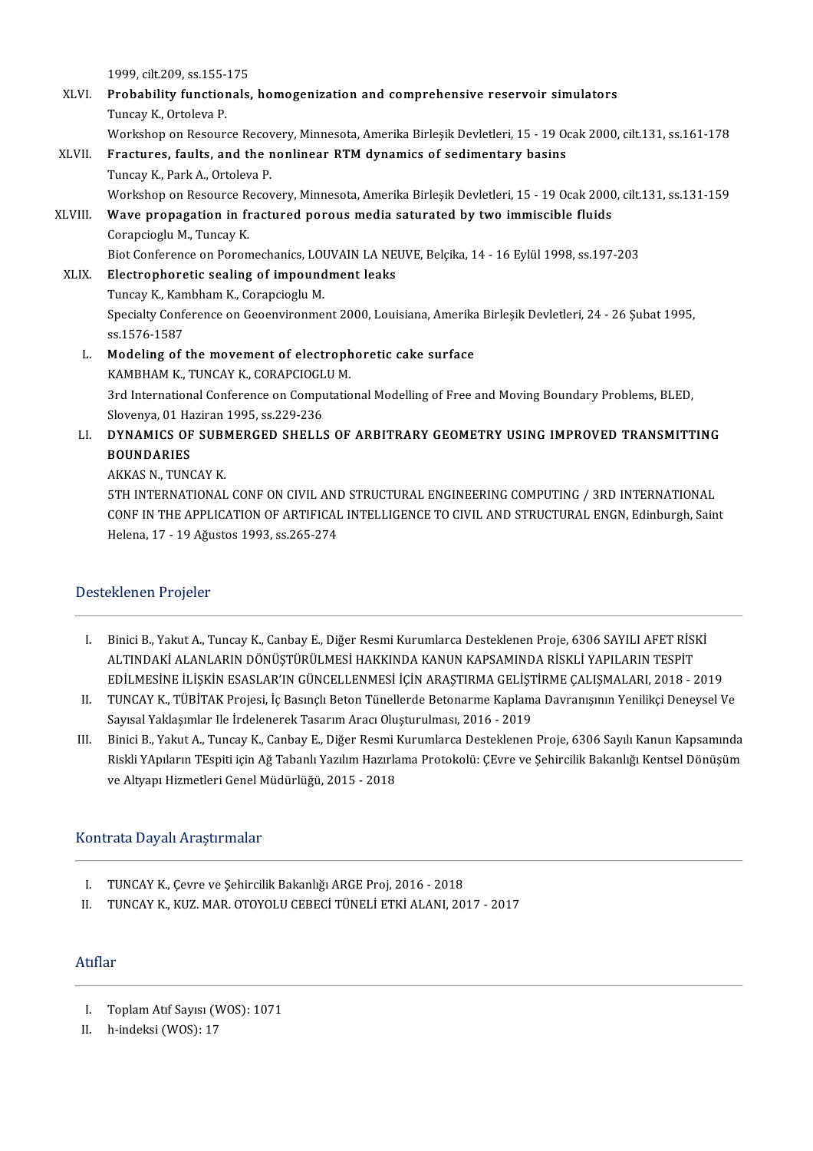1999, cilt.209, ss.155-175

|         | 1999, cilt 209, ss 155-175                                                                                     |
|---------|----------------------------------------------------------------------------------------------------------------|
| XLVI.   | Probability functionals, homogenization and comprehensive reservoir simulators                                 |
|         | Tuncay K., Ortoleva P.                                                                                         |
|         | Workshop on Resource Recovery, Minnesota, Amerika Birleşik Devletleri, 15 - 19 Ocak 2000, cilt.131, ss.161-178 |
| XLVII.  | Fractures, faults, and the nonlinear RTM dynamics of sedimentary basins                                        |
|         | Tuncay K., Park A., Ortoleva P.                                                                                |
|         | Workshop on Resource Recovery, Minnesota, Amerika Birleşik Devletleri, 15 - 19 Ocak 2000, cilt.131, ss.131-159 |
| XLVIII. | Wave propagation in fractured porous media saturated by two immiscible fluids                                  |
|         | Corapcioglu M., Tuncay K.                                                                                      |
|         | Biot Conference on Poromechanics, LOUVAIN LA NEUVE, Belçika, 14 - 16 Eylül 1998, ss.197-203                    |
| XLIX.   | Electrophoretic sealing of impoundment leaks                                                                   |
|         | Tuncay K., Kambham K., Corapcioglu M.                                                                          |
|         | Specialty Conference on Geoenvironment 2000, Louisiana, Amerika Birleşik Devletleri, 24 - 26 Şubat 1995,       |
|         | ss 1576-1587                                                                                                   |
| L.      | Modeling of the movement of electrophoretic cake surface                                                       |
|         | KAMBHAM K, TUNCAY K, CORAPCIOGLU M.                                                                            |
|         | 3rd International Conference on Computational Modelling of Free and Moving Boundary Problems, BLED,            |
|         | Slovenya, 01 Haziran 1995, ss 229-236                                                                          |
| LI.     | DYNAMICS OF SUBMERGED SHELLS OF ARBITRARY GEOMETRY USING IMPROVED TRANSMITTING                                 |
|         | <b>BOUNDARIES</b>                                                                                              |
|         | AKKAS N., TUNCAY K.                                                                                            |
|         | 5TH INTERNATIONAL CONF ON CIVIL AND STRUCTURAL ENGINEERING COMPUTING / 3RD INTERNATIONAL                       |
|         | CONF IN THE APPLICATION OF ARTIFICAL INTELLIGENCE TO CIVIL AND STRUCTURAL ENGN, Edinburgh, Saint               |
|         | Helena, 17 - 19 Ağustos 1993, ss 265-274                                                                       |
|         |                                                                                                                |

#### Desteklenen Projeler

- I. BiniciB.,YakutA.,TuncayK.,CanbayE.,DiğerResmiKurumlarcaDesteklenenProje,6306SAYILIAFETRİSKİ ALTINDAKİ ALANLARIN DÖNÜŞTÜRÜLMESİ HAKKINDA KANUN KAPSAMINDA RİSKLİ YAPILARIN TESPİT Binici B., Yakut A., Tuncay K., Canbay E., Diğer Resmi Kurumlarca Desteklenen Proje, 6306 SAYILI AFET RİSKİ<br>ALTINDAKİ ALANLARIN DÖNÜŞTÜRÜLMESİ HAKKINDA KANUN KAPSAMINDA RİSKLİ YAPILARIN TESPİT<br>EDİLMESİNE İLİŞKİN ESASLAR'IN ALTINDAKİ ALANLARIN DÖNÜŞTÜRÜLMESİ HAKKINDA KANUN KAPSAMINDA RİSKLİ YAPILARIN TESPİT<br>EDİLMESİNE İLİŞKİN ESASLAR'IN GÜNCELLENMESİ İÇİN ARAŞTIRMA GELİŞTİRME ÇALIŞMALARI, 2018 - 2019<br>II. TUNCAY K., TÜBİTAK Projesi, İç Basınçl
- EDİLMESİNE İLİŞKİN ESASLAR'IN GÜNCELLENMESİ İÇİN ARAŞTIRMA GELİŞT<br>TUNCAY K., TÜBİTAK Projesi, İç Basınçlı Beton Tünellerde Betonarme Kaplam<br>Sayısal Yaklaşımlar Ile İrdelenerek Tasarım Aracı Oluşturulması, 2016 2019<br>Binis II. TUNCAY K., TÜBİTAK Projesi, İç Basınçlı Beton Tünellerde Betonarme Kaplama Davranışının Yenilikçi Deneysel Ve<br>Sayısal Yaklaşımlar Ile İrdelenerek Tasarım Aracı Oluşturulması, 2016 - 2019<br>III. Binici B., Yakut A., Tunca
- Sayısal Yaklaşımlar Ile İrdelenerek Tasarım Aracı Oluşturulması, 2016 2019<br>Binici B., Yakut A., Tuncay K., Canbay E., Diğer Resmi Kurumlarca Desteklenen Proje, 6306 Sayılı Kanun Kapsamında<br>Riskli YApıların TEspiti için A Binici B., Yakut A., Tuncay K., Canbay E., Diğer Resmi I<br>Riskli YApıların TEspiti için Ağ Tabanlı Yazılım Hazırla<br>ve Altyapı Hizmetleri Genel Müdürlüğü, 2015 - 2018 ve Altyapı Hizmetleri Genel Müdürlüğü, 2015 - 2018<br>Kontrata Dayalı Araştırmalar

- I. TUNCAY K., Çevre ve Şehircilik Bakanlığı ARGE Proj, 2016 2018<br>II. TUNCAY K., KUZ. MAR. OTOYOLU CEBECİ TÜNELİ ETKİ ALANI, 20
- TUNCAY K., KUZ. MAR. OTOYOLU CEBECİ TÜNELİ ETKİ ALANI, 2017 2017

### Atıflar

- I. ToplamAtıf Sayısı (WOS):1071
- II. h-indeksi (WOS): 17